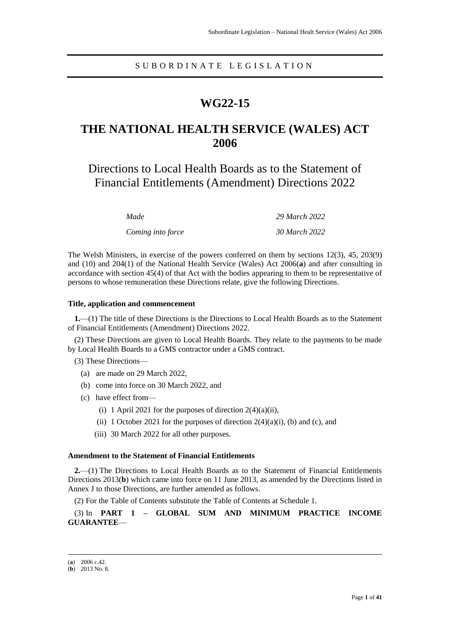## S U B O R D I N A T E L E G I S L A T I O N

# **WG22-15**

# **THE NATIONAL HEALTH SERVICE (WALES) ACT 2006**

Directions to Local Health Boards as to the Statement of Financial Entitlements (Amendment) Directions 2022

| Made              | 29 March 2022 |
|-------------------|---------------|
| Coming into force | 30 March 2022 |

The Welsh Ministers, in exercise of the powers conferred on them by sections 12(3), 45, 203(9) and (10) and 204(1) of the National Health Service (Wales) Act 2006(**a**) and after consulting in accordance with section 45(4) of that Act with the bodies appearing to them to be representative of persons to whose remuneration these Directions relate, give the following Directions.

#### **Title, application and commencement**

**1.**—(1) The title of these Directions is the Directions to Local Health Boards as to the Statement of Financial Entitlements (Amendment) Directions 2022.

(2) These Directions are given to Local Health Boards. They relate to the payments to be made by Local Health Boards to a GMS contractor under a GMS contract.

(3) These Directions—

- (a) are made on 29 March 2022,
- (b) come into force on 30 March 2022, and
- (c) have effect from—
	- (i) 1 April 2021 for the purposes of direction  $2(4)(a)(ii)$ ,
	- (ii) 1 October 2021 for the purposes of direction  $2(4)(a)(i)$ , (b) and (c), and
	- (iii) 30 March 2022 for all other purposes.

## **Amendment to the Statement of Financial Entitlements**

**2.**—(1) The Directions to Local Health Boards as to the Statement of Financial Entitlements Directions 2013(**b**) which came into force on 11 June 2013, as amended by the Directions listed in Annex J to those Directions, are further amended as follows.

(2) For the Table of Contents substitute the Table of Contents at Schedule 1.

(3) In **PART 1 – GLOBAL SUM AND MINIMUM PRACTICE INCOME GUARANTEE**—

<sup>(</sup>**a**) 2006 c.42.

<sup>(</sup>**b**) 2013 No. 8.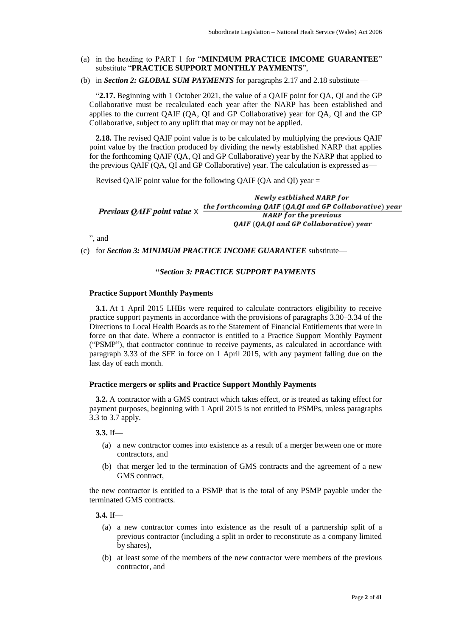- (a) in the heading to PART 1 for "**MINIMUM PRACTICE IMCOME GUARANTEE**" substitute "**PRACTICE SUPPORT MONTHLY PAYMENTS**",
- (b) in *Section 2: GLOBAL SUM PAYMENTS* for paragraphs 2.17 and 2.18 substitute—

"**2.17.** Beginning with 1 October 2021, the value of a QAIF point for QA, QI and the GP Collaborative must be recalculated each year after the NARP has been established and applies to the current QAIF (QA, QI and GP Collaborative) year for QA, QI and the GP Collaborative, subject to any uplift that may or may not be applied.

**2.18.** The revised QAIF point value is to be calculated by multiplying the previous QAIF point value by the fraction produced by dividing the newly established NARP that applies for the forthcoming QAIF (QA, QI and GP Collaborative) year by the NARP that applied to the previous QAIF (QA, QI and GP Collaborative) year. The calculation is expressed as—

Revised QAIF point value for the following QAIF (QA and QI) year =

## Newly estblished NARP for Newty estiblished NARP for<br>Previous QAIF point value  $\times$  the forthcoming QAIF (QA,QI and GP Collaborative) year<br>NARP for the previous **NARP** for the previous QAIF (QA,QI and GP Collaborative) year

", and

(c) for *Section 3: MINIMUM PRACTICE INCOME GUARANTEE* substitute—

### **"***Section 3: PRACTICE SUPPORT PAYMENTS*

#### **Practice Support Monthly Payments**

**3.1.** At 1 April 2015 LHBs were required to calculate contractors eligibility to receive practice support payments in accordance with the provisions of paragraphs 3.30–3.34 of the Directions to Local Health Boards as to the Statement of Financial Entitlements that were in force on that date. Where a contractor is entitled to a Practice Support Monthly Payment ("PSMP"), that contractor continue to receive payments, as calculated in accordance with paragraph 3.33 of the SFE in force on 1 April 2015, with any payment falling due on the last day of each month.

## **Practice mergers or splits and Practice Support Monthly Payments**

**3.2.** A contractor with a GMS contract which takes effect, or is treated as taking effect for payment purposes, beginning with 1 April 2015 is not entitled to PSMPs, unless paragraphs 3.3 to 3.7 apply.

#### **3.3.** If—

- (a) a new contractor comes into existence as a result of a merger between one or more contractors, and
- (b) that merger led to the termination of GMS contracts and the agreement of a new GMS contract,

the new contractor is entitled to a PSMP that is the total of any PSMP payable under the terminated GMS contracts.

**3.4.** If—

- (a) a new contractor comes into existence as the result of a partnership split of a previous contractor (including a split in order to reconstitute as a company limited by shares),
- (b) at least some of the members of the new contractor were members of the previous contractor, and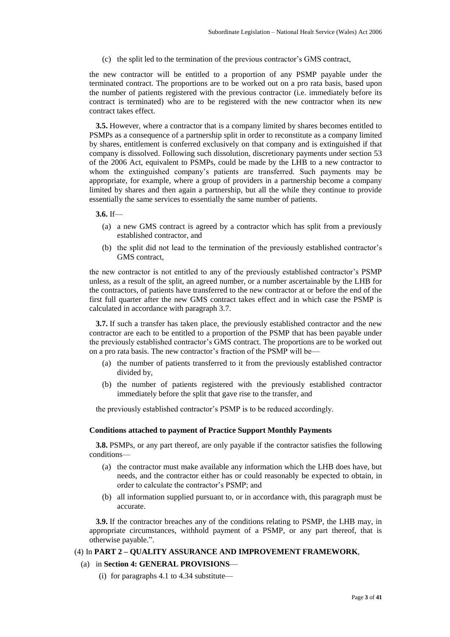(c) the split led to the termination of the previous contractor's GMS contract,

the new contractor will be entitled to a proportion of any PSMP payable under the terminated contract. The proportions are to be worked out on a pro rata basis, based upon the number of patients registered with the previous contractor (i.e. immediately before its contract is terminated) who are to be registered with the new contractor when its new contract takes effect.

**3.5.** However, where a contractor that is a company limited by shares becomes entitled to PSMPs as a consequence of a partnership split in order to reconstitute as a company limited by shares, entitlement is conferred exclusively on that company and is extinguished if that company is dissolved. Following such dissolution, discretionary payments under section 53 of the 2006 Act, equivalent to PSMPs, could be made by the LHB to a new contractor to whom the extinguished company's patients are transferred. Such payments may be appropriate, for example, where a group of providers in a partnership become a company limited by shares and then again a partnership, but all the while they continue to provide essentially the same services to essentially the same number of patients.

**3.6.** If—

- (a) a new GMS contract is agreed by a contractor which has split from a previously established contractor, and
- (b) the split did not lead to the termination of the previously established contractor's GMS contract,

the new contractor is not entitled to any of the previously established contractor's PSMP unless, as a result of the split, an agreed number, or a number ascertainable by the LHB for the contractors, of patients have transferred to the new contractor at or before the end of the first full quarter after the new GMS contract takes effect and in which case the PSMP is calculated in accordance with paragraph 3.7.

**3.7.** If such a transfer has taken place, the previously established contractor and the new contractor are each to be entitled to a proportion of the PSMP that has been payable under the previously established contractor's GMS contract. The proportions are to be worked out on a pro rata basis. The new contractor's fraction of the PSMP will be—

- (a) the number of patients transferred to it from the previously established contractor divided by,
- (b) the number of patients registered with the previously established contractor immediately before the split that gave rise to the transfer, and

the previously established contractor's PSMP is to be reduced accordingly.

#### **Conditions attached to payment of Practice Support Monthly Payments**

**3.8.** PSMPs, or any part thereof, are only payable if the contractor satisfies the following conditions—

- (a) the contractor must make available any information which the LHB does have, but needs, and the contractor either has or could reasonably be expected to obtain, in order to calculate the contractor's PSMP; and
- (b) all information supplied pursuant to, or in accordance with, this paragraph must be accurate.

**3.9.** If the contractor breaches any of the conditions relating to PSMP, the LHB may, in appropriate circumstances, withhold payment of a PSMP, or any part thereof, that is otherwise payable.".

## (4) In **PART 2 – QUALITY ASSURANCE AND IMPROVEMENT FRAMEWORK**,

### (a) in **Section 4: GENERAL PROVISIONS**—

(i) for paragraphs 4.1 to 4.34 substitute—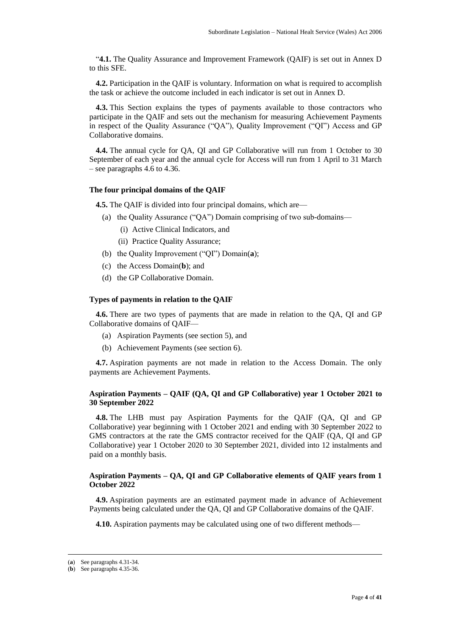"**4.1.** The Quality Assurance and Improvement Framework (QAIF) is set out in Annex D to this SFE.

**4.2.** Participation in the QAIF is voluntary. Information on what is required to accomplish the task or achieve the outcome included in each indicator is set out in Annex D.

**4.3.** This Section explains the types of payments available to those contractors who participate in the QAIF and sets out the mechanism for measuring Achievement Payments in respect of the Quality Assurance ("QA"), Quality Improvement ("QI") Access and GP Collaborative domains.

**4.4.** The annual cycle for QA, QI and GP Collaborative will run from 1 October to 30 September of each year and the annual cycle for Access will run from 1 April to 31 March – see paragraphs 4.6 to 4.36.

#### **The four principal domains of the QAIF**

**4.5.** The QAIF is divided into four principal domains, which are—

- (a) the Quality Assurance ("QA") Domain comprising of two sub-domains—
	- (i) Active Clinical Indicators, and
	- (ii) Practice Quality Assurance;
- (b) the Quality Improvement ("QI") Domain(**a**);
- (c) the Access Domain(**b**); and
- (d) the GP Collaborative Domain.

#### **Types of payments in relation to the QAIF**

**4.6.** There are two types of payments that are made in relation to the QA, QI and GP Collaborative domains of QAIF—

- (a) Aspiration Payments (see section 5), and
- (b) Achievement Payments (see section 6).

**4.7.** Aspiration payments are not made in relation to the Access Domain. The only payments are Achievement Payments.

## **Aspiration Payments – QAIF (QA, QI and GP Collaborative) year 1 October 2021 to 30 September 2022**

**4.8.** The LHB must pay Aspiration Payments for the QAIF (QA, QI and GP Collaborative) year beginning with 1 October 2021 and ending with 30 September 2022 to GMS contractors at the rate the GMS contractor received for the QAIF (QA, QI and GP Collaborative) year 1 October 2020 to 30 September 2021, divided into 12 instalments and paid on a monthly basis.

## **Aspiration Payments – QA, QI and GP Collaborative elements of QAIF years from 1 October 2022**

**4.9.** Aspiration payments are an estimated payment made in advance of Achievement Payments being calculated under the QA, QI and GP Collaborative domains of the QAIF.

**4.10.** Aspiration payments may be calculated using one of two different methods—

<sup>(</sup>**a**) See paragraphs 4.31-34.

<sup>(</sup>**b**) See paragraphs 4.35-36.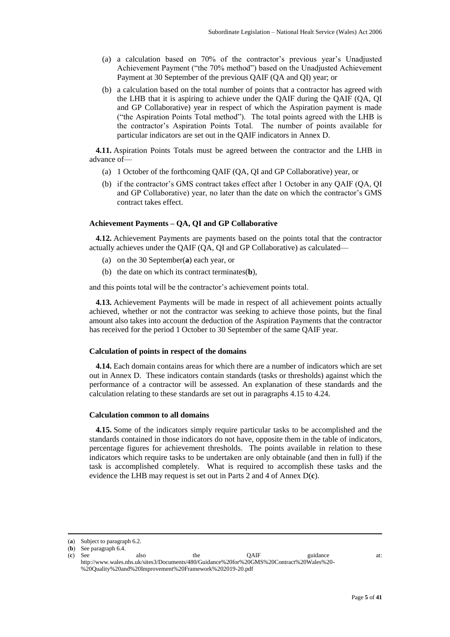- (a) a calculation based on 70% of the contractor's previous year's Unadjusted Achievement Payment ("the 70% method") based on the Unadjusted Achievement Payment at 30 September of the previous QAIF (QA and QI) year; or
- (b) a calculation based on the total number of points that a contractor has agreed with the LHB that it is aspiring to achieve under the QAIF during the QAIF (QA, QI and GP Collaborative) year in respect of which the Aspiration payment is made ("the Aspiration Points Total method"). The total points agreed with the LHB is the contractor's Aspiration Points Total. The number of points available for particular indicators are set out in the QAIF indicators in Annex D.

**4.11.** Aspiration Points Totals must be agreed between the contractor and the LHB in advance of—

- (a) 1 October of the forthcoming QAIF (QA, QI and GP Collaborative) year, or
- (b) if the contractor's GMS contract takes effect after 1 October in any QAIF (QA, QI and GP Collaborative) year, no later than the date on which the contractor's GMS contract takes effect.

#### **Achievement Payments – QA, QI and GP Collaborative**

**4.12.** Achievement Payments are payments based on the points total that the contractor actually achieves under the QAIF (QA, QI and GP Collaborative) as calculated—

- (a) on the 30 September(**a**) each year, or
- (b) the date on which its contract terminates(**b**),

and this points total will be the contractor's achievement points total.

**4.13.** Achievement Payments will be made in respect of all achievement points actually achieved, whether or not the contractor was seeking to achieve those points, but the final amount also takes into account the deduction of the Aspiration Payments that the contractor has received for the period 1 October to 30 September of the same QAIF year.

#### **Calculation of points in respect of the domains**

**4.14.** Each domain contains areas for which there are a number of indicators which are set out in Annex D. These indicators contain standards (tasks or thresholds) against which the performance of a contractor will be assessed. An explanation of these standards and the calculation relating to these standards are set out in paragraphs 4.15 to 4.24.

#### **Calculation common to all domains**

**4.15.** Some of the indicators simply require particular tasks to be accomplished and the standards contained in those indicators do not have, opposite them in the table of indicators, percentage figures for achievement thresholds. The points available in relation to these indicators which require tasks to be undertaken are only obtainable (and then in full) if the task is accomplished completely. What is required to accomplish these tasks and the evidence the LHB may request is set out in Parts 2 and 4 of Annex D(**c**).

<sup>(</sup>**a**) Subject to paragraph 6.2.

<sup>(</sup>**b**) See paragraph 6.4.

<sup>(</sup>**c**) See also the QAIF guidance at: [http://www.wales.nhs.uk/sites3/Documents/480/Guidance%20for%20GMS%20Contract%20Wales%20-](http://www.wales.nhs.uk/sites3/Documents/480/Guidance%20for%20GMS%20Contract%20Wales%20-%20Quality%20and%20Improvement%20Framework%202019-20.pdf) [%20Quality%20and%20Improvement%20Framework%202019-20.pdf](http://www.wales.nhs.uk/sites3/Documents/480/Guidance%20for%20GMS%20Contract%20Wales%20-%20Quality%20and%20Improvement%20Framework%202019-20.pdf)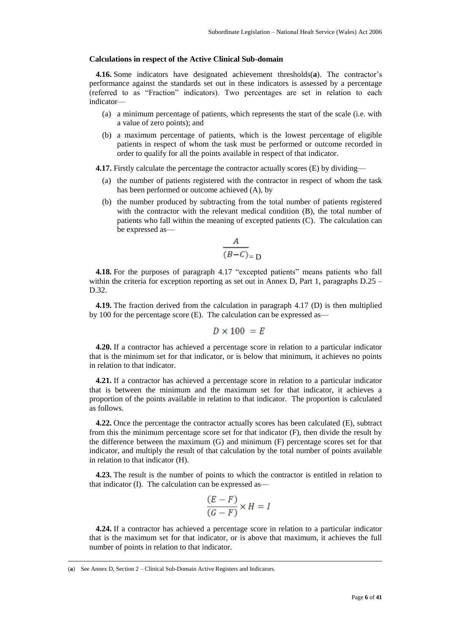#### **Calculations in respect of the Active Clinical Sub-domain**

**4.16.** Some indicators have designated achievement thresholds(**a**). The contractor's performance against the standards set out in these indicators is assessed by a percentage (referred to as "Fraction" indicators). Two percentages are set in relation to each indicator—

- (a) a minimum percentage of patients, which represents the start of the scale (i.e. with a value of zero points); and
- (b) a maximum percentage of patients, which is the lowest percentage of eligible patients in respect of whom the task must be performed or outcome recorded in order to qualify for all the points available in respect of that indicator.

**4.17.** Firstly calculate the percentage the contractor actually scores (E) by dividing—

- (a) the number of patients registered with the contractor in respect of whom the task has been performed or outcome achieved (A), by
- (b) the number produced by subtracting from the total number of patients registered with the contractor with the relevant medical condition (B), the total number of patients who fall within the meaning of excepted patients (C). The calculation can be expressed as—

$$
\frac{A}{(B-C)}_{=D}
$$

**4.18.** For the purposes of paragraph 4.17 "excepted patients" means patients who fall within the criteria for exception reporting as set out in Annex D, Part 1, paragraphs D.25 – D.32.

**4.19.** The fraction derived from the calculation in paragraph 4.17 (D) is then multiplied by 100 for the percentage score (E). The calculation can be expressed as—

$$
D\times 100 = E
$$

**4.20.** If a contractor has achieved a percentage score in relation to a particular indicator that is the minimum set for that indicator, or is below that minimum, it achieves no points in relation to that indicator.

**4.21.** If a contractor has achieved a percentage score in relation to a particular indicator that is between the minimum and the maximum set for that indicator, it achieves a proportion of the points available in relation to that indicator. The proportion is calculated as follows.

**4.22.** Once the percentage the contractor actually scores has been calculated (E), subtract from this the minimum percentage score set for that indicator (F), then divide the result by the difference between the maximum (G) and minimum (F) percentage scores set for that indicator, and multiply the result of that calculation by the total number of points available in relation to that indicator (H).

**4.23.** The result is the number of points to which the contractor is entitled in relation to that indicator (I). The calculation can be expressed as—

$$
\frac{(E-F)}{(G-F)} \times H = I
$$

**4.24.** If a contractor has achieved a percentage score in relation to a particular indicator that is the maximum set for that indicator, or is above that maximum, it achieves the full number of points in relation to that indicator.

<sup>(</sup>**a**) See Annex D, Section 2 – Clinical Sub-Domain Active Registers and Indicators.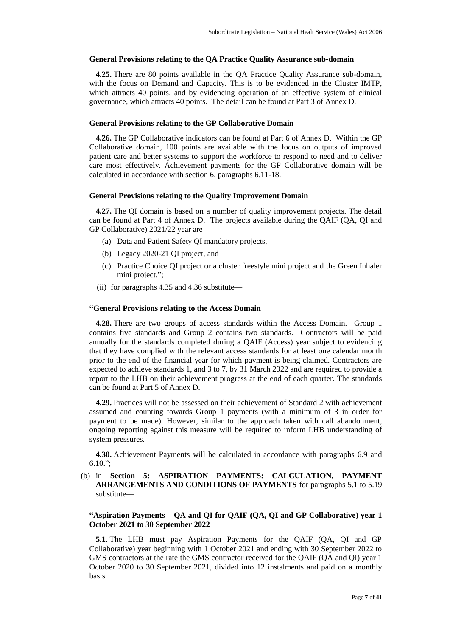#### **General Provisions relating to the QA Practice Quality Assurance sub-domain**

**4.25.** There are 80 points available in the QA Practice Quality Assurance sub-domain, with the focus on Demand and Capacity. This is to be evidenced in the Cluster IMTP, which attracts 40 points, and by evidencing operation of an effective system of clinical governance, which attracts 40 points. The detail can be found at Part 3 of Annex D.

#### **General Provisions relating to the GP Collaborative Domain**

**4.26.** The GP Collaborative indicators can be found at Part 6 of Annex D. Within the GP Collaborative domain, 100 points are available with the focus on outputs of improved patient care and better systems to support the workforce to respond to need and to deliver care most effectively. Achievement payments for the GP Collaborative domain will be calculated in accordance with section 6, paragraphs 6.11-18.

## **General Provisions relating to the Quality Improvement Domain**

**4.27.** The QI domain is based on a number of quality improvement projects. The detail can be found at Part 4 of Annex D. The projects available during the QAIF (QA, QI and GP Collaborative) 2021/22 year are—

- (a) Data and Patient Safety QI mandatory projects,
- (b) Legacy 2020-21 QI project, and
- (c) Practice Choice QI project or a cluster freestyle mini project and the Green Inhaler mini project.";
- (ii) for paragraphs 4.35 and 4.36 substitute—

#### **"General Provisions relating to the Access Domain**

**4.28.** There are two groups of access standards within the Access Domain. Group 1 contains five standards and Group 2 contains two standards. Contractors will be paid annually for the standards completed during a QAIF (Access) year subject to evidencing that they have complied with the relevant access standards for at least one calendar month prior to the end of the financial year for which payment is being claimed. Contractors are expected to achieve standards 1, and 3 to 7, by 31 March 2022 and are required to provide a report to the LHB on their achievement progress at the end of each quarter. The standards can be found at Part 5 of Annex D.

**4.29.** Practices will not be assessed on their achievement of Standard 2 with achievement assumed and counting towards Group 1 payments (with a minimum of 3 in order for payment to be made). However, similar to the approach taken with call abandonment, ongoing reporting against this measure will be required to inform LHB understanding of system pressures.

**4.30.** Achievement Payments will be calculated in accordance with paragraphs 6.9 and 6.10.";

(b) in **Section 5: ASPIRATION PAYMENTS: CALCULATION, PAYMENT ARRANGEMENTS AND CONDITIONS OF PAYMENTS** for paragraphs 5.1 to 5.19 substitute—

## **"Aspiration Payments – QA and QI for QAIF (QA, QI and GP Collaborative) year 1 October 2021 to 30 September 2022**

**5.1.** The LHB must pay Aspiration Payments for the QAIF (QA, QI and GP Collaborative) year beginning with 1 October 2021 and ending with 30 September 2022 to GMS contractors at the rate the GMS contractor received for the QAIF (QA and QI) year 1 October 2020 to 30 September 2021, divided into 12 instalments and paid on a monthly basis.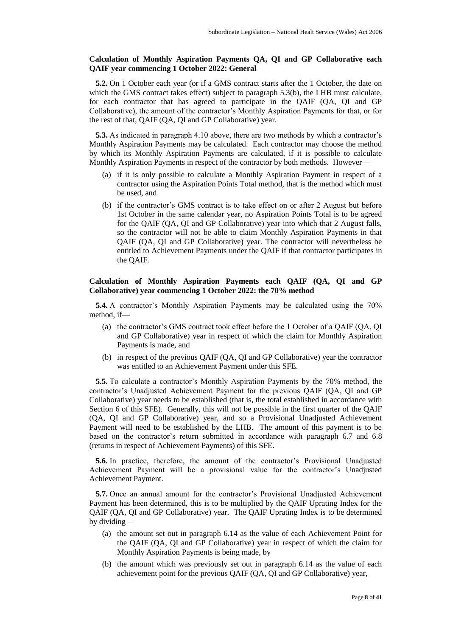## **Calculation of Monthly Aspiration Payments QA, QI and GP Collaborative each QAIF year commencing 1 October 2022: General**

**5.2.** On 1 October each year (or if a GMS contract starts after the 1 October, the date on which the GMS contract takes effect) subject to paragraph 5.3(b), the LHB must calculate, for each contractor that has agreed to participate in the QAIF (QA, QI and GP Collaborative), the amount of the contractor's Monthly Aspiration Payments for that, or for the rest of that, QAIF (QA, QI and GP Collaborative) year.

**5.3.** As indicated in paragraph 4.10 above, there are two methods by which a contractor's Monthly Aspiration Payments may be calculated. Each contractor may choose the method by which its Monthly Aspiration Payments are calculated, if it is possible to calculate Monthly Aspiration Payments in respect of the contractor by both methods. However—

- (a) if it is only possible to calculate a Monthly Aspiration Payment in respect of a contractor using the Aspiration Points Total method, that is the method which must be used, and
- (b) if the contractor's GMS contract is to take effect on or after 2 August but before 1st October in the same calendar year, no Aspiration Points Total is to be agreed for the QAIF (QA, QI and GP Collaborative) year into which that 2 August falls, so the contractor will not be able to claim Monthly Aspiration Payments in that QAIF (QA, QI and GP Collaborative) year. The contractor will nevertheless be entitled to Achievement Payments under the QAIF if that contractor participates in the QAIF.

## **Calculation of Monthly Aspiration Payments each QAIF (QA, QI and GP Collaborative) year commencing 1 October 2022: the 70% method**

**5.4.** A contractor's Monthly Aspiration Payments may be calculated using the 70% method, if—

- (a) the contractor's GMS contract took effect before the 1 October of a QAIF (QA, QI and GP Collaborative) year in respect of which the claim for Monthly Aspiration Payments is made, and
- (b) in respect of the previous QAIF (QA, QI and GP Collaborative) year the contractor was entitled to an Achievement Payment under this SFE.

**5.5.** To calculate a contractor's Monthly Aspiration Payments by the 70% method, the contractor's Unadjusted Achievement Payment for the previous QAIF (QA, QI and GP Collaborative) year needs to be established (that is, the total established in accordance with Section 6 of this SFE). Generally, this will not be possible in the first quarter of the QAIF (QA, QI and GP Collaborative) year, and so a Provisional Unadjusted Achievement Payment will need to be established by the LHB. The amount of this payment is to be based on the contractor's return submitted in accordance with paragraph 6.7 and 6.8 (returns in respect of Achievement Payments) of this SFE.

**5.6.** In practice, therefore, the amount of the contractor's Provisional Unadjusted Achievement Payment will be a provisional value for the contractor's Unadjusted Achievement Payment.

**5.7.** Once an annual amount for the contractor's Provisional Unadjusted Achievement Payment has been determined, this is to be multiplied by the QAIF Uprating Index for the QAIF (QA, QI and GP Collaborative) year. The QAIF Uprating Index is to be determined by dividing—

- (a) the amount set out in paragraph 6.14 as the value of each Achievement Point for the QAIF (QA, QI and GP Collaborative) year in respect of which the claim for Monthly Aspiration Payments is being made, by
- (b) the amount which was previously set out in paragraph 6.14 as the value of each achievement point for the previous QAIF (QA, QI and GP Collaborative) year,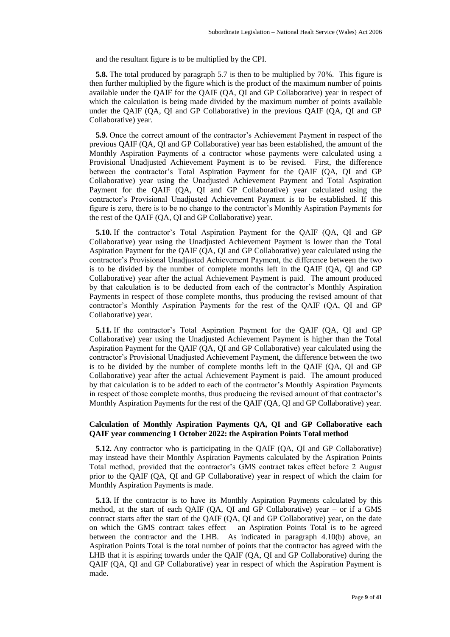and the resultant figure is to be multiplied by the CPI.

**5.8.** The total produced by paragraph 5.7 is then to be multiplied by 70%. This figure is then further multiplied by the figure which is the product of the maximum number of points available under the QAIF for the QAIF (QA, QI and GP Collaborative) year in respect of which the calculation is being made divided by the maximum number of points available under the QAIF (QA, QI and GP Collaborative) in the previous QAIF (QA, QI and GP Collaborative) year.

**5.9.** Once the correct amount of the contractor's Achievement Payment in respect of the previous QAIF (QA, QI and GP Collaborative) year has been established, the amount of the Monthly Aspiration Payments of a contractor whose payments were calculated using a Provisional Unadjusted Achievement Payment is to be revised. First, the difference between the contractor's Total Aspiration Payment for the QAIF (QA, QI and GP Collaborative) year using the Unadjusted Achievement Payment and Total Aspiration Payment for the QAIF (QA, QI and GP Collaborative) year calculated using the contractor's Provisional Unadjusted Achievement Payment is to be established. If this figure is zero, there is to be no change to the contractor's Monthly Aspiration Payments for the rest of the QAIF (QA, QI and GP Collaborative) year.

**5.10.** If the contractor's Total Aspiration Payment for the QAIF (QA, QI and GP Collaborative) year using the Unadjusted Achievement Payment is lower than the Total Aspiration Payment for the QAIF (QA, QI and GP Collaborative) year calculated using the contractor's Provisional Unadjusted Achievement Payment, the difference between the two is to be divided by the number of complete months left in the QAIF (QA, QI and GP Collaborative) year after the actual Achievement Payment is paid. The amount produced by that calculation is to be deducted from each of the contractor's Monthly Aspiration Payments in respect of those complete months, thus producing the revised amount of that contractor's Monthly Aspiration Payments for the rest of the QAIF (QA, QI and GP Collaborative) year.

**5.11.** If the contractor's Total Aspiration Payment for the QAIF (QA, QI and GP Collaborative) year using the Unadjusted Achievement Payment is higher than the Total Aspiration Payment for the QAIF (QA, QI and GP Collaborative) year calculated using the contractor's Provisional Unadjusted Achievement Payment, the difference between the two is to be divided by the number of complete months left in the QAIF (QA, QI and GP Collaborative) year after the actual Achievement Payment is paid. The amount produced by that calculation is to be added to each of the contractor's Monthly Aspiration Payments in respect of those complete months, thus producing the revised amount of that contractor's Monthly Aspiration Payments for the rest of the QAIF (QA, QI and GP Collaborative) year.

## **Calculation of Monthly Aspiration Payments QA, QI and GP Collaborative each QAIF year commencing 1 October 2022: the Aspiration Points Total method**

**5.12.** Any contractor who is participating in the QAIF (QA, QI and GP Collaborative) may instead have their Monthly Aspiration Payments calculated by the Aspiration Points Total method, provided that the contractor's GMS contract takes effect before 2 August prior to the QAIF (QA, QI and GP Collaborative) year in respect of which the claim for Monthly Aspiration Payments is made.

**5.13.** If the contractor is to have its Monthly Aspiration Payments calculated by this method, at the start of each QAIF (QA, QI and GP Collaborative) year – or if a GMS contract starts after the start of the QAIF (QA, QI and GP Collaborative) year, on the date on which the GMS contract takes effect – an Aspiration Points Total is to be agreed between the contractor and the LHB. As indicated in paragraph 4.10(b) above, an Aspiration Points Total is the total number of points that the contractor has agreed with the LHB that it is aspiring towards under the QAIF (QA, QI and GP Collaborative) during the QAIF (QA, QI and GP Collaborative) year in respect of which the Aspiration Payment is made.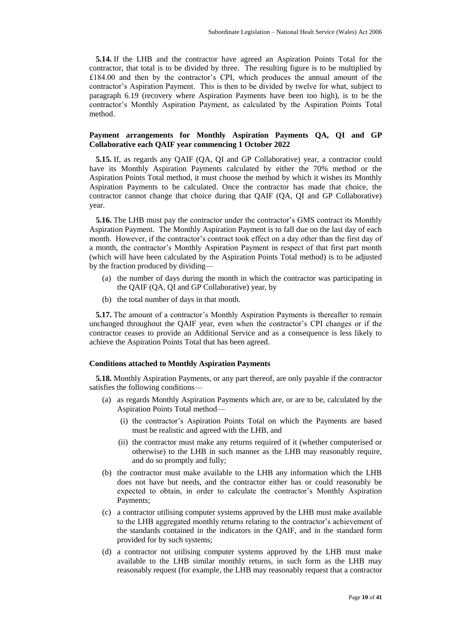**5.14.** If the LHB and the contractor have agreed an Aspiration Points Total for the contractor, that total is to be divided by three. The resulting figure is to be multiplied by £184.00 and then by the contractor's CPI, which produces the annual amount of the contractor's Aspiration Payment. This is then to be divided by twelve for what, subject to paragraph 6.19 (recovery where Aspiration Payments have been too high), is to be the contractor's Monthly Aspiration Payment, as calculated by the Aspiration Points Total method.

## **Payment arrangements for Monthly Aspiration Payments QA, QI and GP Collaborative each QAIF year commencing 1 October 2022**

**5.15.** If, as regards any QAIF (QA, QI and GP Collaborative) year, a contractor could have its Monthly Aspiration Payments calculated by either the 70% method or the Aspiration Points Total method, it must choose the method by which it wishes its Monthly Aspiration Payments to be calculated. Once the contractor has made that choice, the contractor cannot change that choice during that QAIF (QA, QI and GP Collaborative) year.

**5.16.** The LHB must pay the contractor under the contractor's GMS contract its Monthly Aspiration Payment. The Monthly Aspiration Payment is to fall due on the last day of each month. However, if the contractor's contract took effect on a day other than the first day of a month, the contractor's Monthly Aspiration Payment in respect of that first part month (which will have been calculated by the Aspiration Points Total method) is to be adjusted by the fraction produced by dividing—

- (a) the number of days during the month in which the contractor was participating in the QAIF (QA, QI and GP Collaborative) year, by
- (b) the total number of days in that month.

**5.17.** The amount of a contractor's Monthly Aspiration Payments is thereafter to remain unchanged throughout the QAIF year, even when the contractor's CPI changes or if the contractor ceases to provide an Additional Service and as a consequence is less likely to achieve the Aspiration Points Total that has been agreed.

#### **Conditions attached to Monthly Aspiration Payments**

**5.18.** Monthly Aspiration Payments, or any part thereof, are only payable if the contractor satisfies the following conditions—

- (a) as regards Monthly Aspiration Payments which are, or are to be, calculated by the Aspiration Points Total method—
	- (i) the contractor's Aspiration Points Total on which the Payments are based must be realistic and agreed with the LHB, and
	- (ii) the contractor must make any returns required of it (whether computerised or otherwise) to the LHB in such manner as the LHB may reasonably require, and do so promptly and fully;
- (b) the contractor must make available to the LHB any information which the LHB does not have but needs, and the contractor either has or could reasonably be expected to obtain, in order to calculate the contractor's Monthly Aspiration Payments;
- (c) a contractor utilising computer systems approved by the LHB must make available to the LHB aggregated monthly returns relating to the contractor's achievement of the standards contained in the indicators in the QAIF, and in the standard form provided for by such systems;
- (d) a contractor not utilising computer systems approved by the LHB must make available to the LHB similar monthly returns, in such form as the LHB may reasonably request (for example, the LHB may reasonably request that a contractor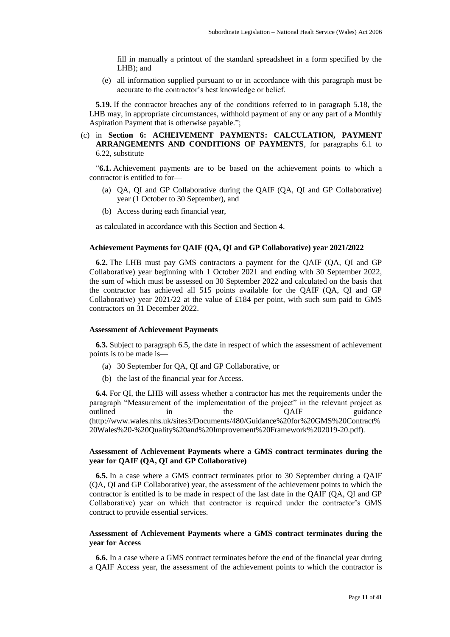fill in manually a printout of the standard spreadsheet in a form specified by the LHB); and

(e) all information supplied pursuant to or in accordance with this paragraph must be accurate to the contractor's best knowledge or belief.

**5.19.** If the contractor breaches any of the conditions referred to in paragraph 5.18, the LHB may, in appropriate circumstances, withhold payment of any or any part of a Monthly Aspiration Payment that is otherwise payable.";

## (c) in **Section 6: ACHEIVEMENT PAYMENTS: CALCULATION, PAYMENT ARRANGEMENTS AND CONDITIONS OF PAYMENTS**, for paragraphs 6.1 to 6.22, substitute—

"**6.1.** Achievement payments are to be based on the achievement points to which a contractor is entitled to for—

- (a) QA, QI and GP Collaborative during the QAIF (QA, QI and GP Collaborative) year (1 October to 30 September), and
- (b) Access during each financial year,

as calculated in accordance with this Section and Section 4.

## **Achievement Payments for QAIF (QA, QI and GP Collaborative) year 2021/2022**

**6.2.** The LHB must pay GMS contractors a payment for the QAIF (QA, QI and GP Collaborative) year beginning with 1 October 2021 and ending with 30 September 2022, the sum of which must be assessed on 30 September 2022 and calculated on the basis that the contractor has achieved all 515 points available for the QAIF (QA, QI and GP Collaborative) year  $2021/22$  at the value of £184 per point, with such sum paid to GMS contractors on 31 December 2022.

#### **Assessment of Achievement Payments**

**6.3.** Subject to paragraph 6.5, the date in respect of which the assessment of achievement points is to be made is—

- (a) 30 September for QA, QI and GP Collaborative, or
- (b) the last of the financial year for Access.

**6.4.** For QI, the LHB will assess whether a contractor has met the requirements under the paragraph "Measurement of the implementation of the project" in the relevant project as outlined in the QAIF guidance [\(http://www.wales.nhs.uk/sites3/Documents/480/Guidance%20for%20GMS%20Contract%](http://www.wales.nhs.uk/sites3/Documents/480/Guidance%20for%20GMS%20Contract%20Wales%20-%20Quality%20and%20Improvement%20Framework%202019-20.pdf) [20Wales%20-%20Quality%20and%20Improvement%20Framework%202019-20.pdf\)](http://www.wales.nhs.uk/sites3/Documents/480/Guidance%20for%20GMS%20Contract%20Wales%20-%20Quality%20and%20Improvement%20Framework%202019-20.pdf).

## **Assessment of Achievement Payments where a GMS contract terminates during the year for QAIF (QA, QI and GP Collaborative)**

**6.5.** In a case where a GMS contract terminates prior to 30 September during a QAIF (QA, QI and GP Collaborative) year, the assessment of the achievement points to which the contractor is entitled is to be made in respect of the last date in the QAIF (QA, QI and GP Collaborative) year on which that contractor is required under the contractor's GMS contract to provide essential services.

## **Assessment of Achievement Payments where a GMS contract terminates during the year for Access**

**6.6.** In a case where a GMS contract terminates before the end of the financial year during a QAIF Access year, the assessment of the achievement points to which the contractor is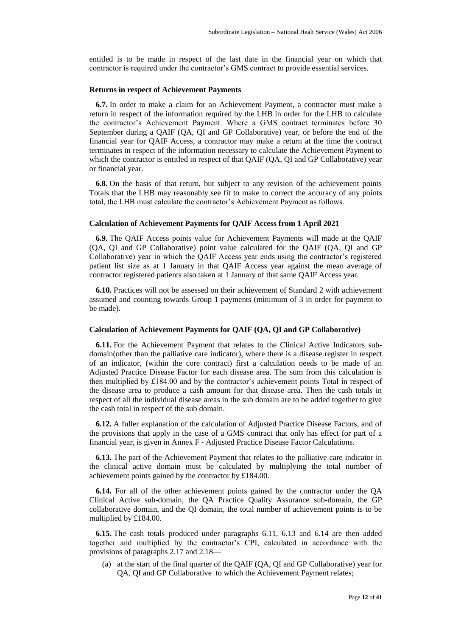entitled is to be made in respect of the last date in the financial year on which that contractor is required under the contractor's GMS contract to provide essential services.

#### **Returns in respect of Achievement Payments**

**6.7.** In order to make a claim for an Achievement Payment, a contractor must make a return in respect of the information required by the LHB in order for the LHB to calculate the contractor's Achievement Payment. Where a GMS contract terminates before 30 September during a QAIF (QA, QI and GP Collaborative) year, or before the end of the financial year for QAIF Access, a contractor may make a return at the time the contract terminates in respect of the information necessary to calculate the Achievement Payment to which the contractor is entitled in respect of that QAIF (QA, QI and GP Collaborative) year or financial year.

**6.8.** On the basis of that return, but subject to any revision of the achievement points Totals that the LHB may reasonably see fit to make to correct the accuracy of any points total, the LHB must calculate the contractor's Achievement Payment as follows.

#### **Calculation of Achievement Payments for QAIF Access from 1 April 2021**

**6.9.** The QAIF Access points value for Achievement Payments will made at the QAIF (QA, QI and GP Collaborative) point value calculated for the QAIF (QA, QI and GP Collaborative) year in which the QAIF Access year ends using the contractor's registered patient list size as at 1 January in that QAIF Access year against the mean average of contractor registered patients also taken at 1 January of that same QAIF Access year.

**6.10.** Practices will not be assessed on their achievement of Standard 2 with achievement assumed and counting towards Group 1 payments (minimum of 3 in order for payment to be made).

#### **Calculation of Achievement Payments for QAIF (QA, QI and GP Collaborative)**

**6.11.** For the Achievement Payment that relates to the Clinical Active Indicators subdomain(other than the palliative care indicator), where there is a disease register in respect of an indicator, (within the core contract) first a calculation needs to be made of an Adjusted Practice Disease Factor for each disease area. The sum from this calculation is then multiplied by £184.00 and by the contractor's achievement points Total in respect of the disease area to produce a cash amount for that disease area. Then the cash totals in respect of all the individual disease areas in the sub domain are to be added together to give the cash total in respect of the sub domain.

**6.12.** A fuller explanation of the calculation of Adjusted Practice Disease Factors, and of the provisions that apply in the case of a GMS contract that only has effect for part of a financial year, is given in Annex F - Adjusted Practice Disease Factor Calculations.

**6.13.** The part of the Achievement Payment that relates to the palliative care indicator in the clinical active domain must be calculated by multiplying the total number of achievement points gained by the contractor by £184.00.

**6.14.** For all of the other achievement points gained by the contractor under the QA Clinical Active sub-domain, the QA Practice Quality Assurance sub-domain, the GP collaborative domain, and the QI domain, the total number of achievement points is to be multiplied by £184.00.

**6.15.** The cash totals produced under paragraphs 6.11, 6.13 and 6.14 are then added together and multiplied by the contractor's CPI, calculated in accordance with the provisions of paragraphs 2.17 and 2.18—

(a) at the start of the final quarter of the QAIF (QA, QI and GP Collaborative) year for QA, QI and GP Collaborative to which the Achievement Payment relates;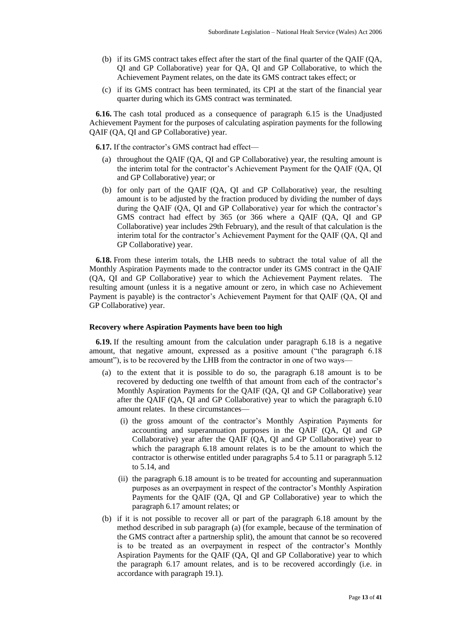- (b) if its GMS contract takes effect after the start of the final quarter of the QAIF (QA, QI and GP Collaborative) year for QA, QI and GP Collaborative, to which the Achievement Payment relates, on the date its GMS contract takes effect; or
- (c) if its GMS contract has been terminated, its CPI at the start of the financial year quarter during which its GMS contract was terminated.

**6.16.** The cash total produced as a consequence of paragraph 6.15 is the Unadjusted Achievement Payment for the purposes of calculating aspiration payments for the following QAIF (QA, QI and GP Collaborative) year.

**6.17.** If the contractor's GMS contract had effect—

- (a) throughout the QAIF (QA, QI and GP Collaborative) year, the resulting amount is the interim total for the contractor's Achievement Payment for the QAIF (QA, QI and GP Collaborative) year; or
- (b) for only part of the QAIF (QA, QI and GP Collaborative) year, the resulting amount is to be adjusted by the fraction produced by dividing the number of days during the QAIF (QA, QI and GP Collaborative) year for which the contractor's GMS contract had effect by 365 (or 366 where a QAIF (QA, QI and GP Collaborative) year includes 29th February), and the result of that calculation is the interim total for the contractor's Achievement Payment for the QAIF (QA, QI and GP Collaborative) year.

**6.18.** From these interim totals, the LHB needs to subtract the total value of all the Monthly Aspiration Payments made to the contractor under its GMS contract in the QAIF (QA, QI and GP Collaborative) year to which the Achievement Payment relates. The resulting amount (unless it is a negative amount or zero, in which case no Achievement Payment is payable) is the contractor's Achievement Payment for that QAIF (QA, QI and GP Collaborative) year.

## **Recovery where Aspiration Payments have been too high**

**6.19.** If the resulting amount from the calculation under paragraph 6.18 is a negative amount, that negative amount, expressed as a positive amount ("the paragraph 6.18 amount"), is to be recovered by the LHB from the contractor in one of two ways—

- (a) to the extent that it is possible to do so, the paragraph 6.18 amount is to be recovered by deducting one twelfth of that amount from each of the contractor's Monthly Aspiration Payments for the QAIF (QA, QI and GP Collaborative) year after the QAIF (QA, QI and GP Collaborative) year to which the paragraph 6.10 amount relates. In these circumstances—
	- (i) the gross amount of the contractor's Monthly Aspiration Payments for accounting and superannuation purposes in the QAIF (QA, QI and GP Collaborative) year after the QAIF (QA, QI and GP Collaborative) year to which the paragraph 6.18 amount relates is to be the amount to which the contractor is otherwise entitled under paragraphs 5.4 to 5.11 or paragraph 5.12 to 5.14, and
	- (ii) the paragraph 6.18 amount is to be treated for accounting and superannuation purposes as an overpayment in respect of the contractor's Monthly Aspiration Payments for the QAIF (QA, QI and GP Collaborative) year to which the paragraph 6.17 amount relates; or
- (b) if it is not possible to recover all or part of the paragraph 6.18 amount by the method described in sub paragraph (a) (for example, because of the termination of the GMS contract after a partnership split), the amount that cannot be so recovered is to be treated as an overpayment in respect of the contractor's Monthly Aspiration Payments for the QAIF (QA, QI and GP Collaborative) year to which the paragraph 6.17 amount relates, and is to be recovered accordingly (i.e. in accordance with paragraph 19.1).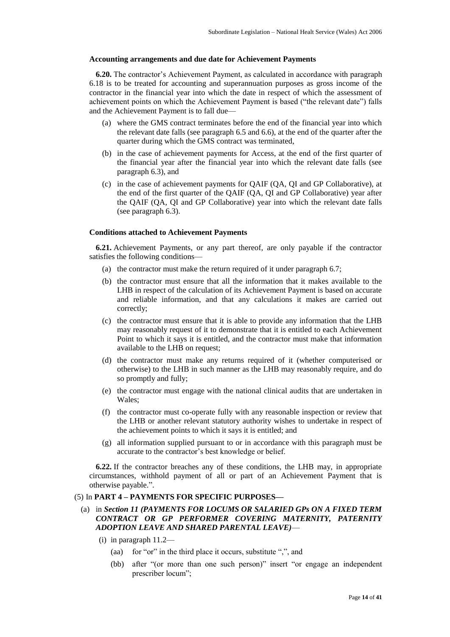#### **Accounting arrangements and due date for Achievement Payments**

**6.20.** The contractor's Achievement Payment, as calculated in accordance with paragraph 6.18 is to be treated for accounting and superannuation purposes as gross income of the contractor in the financial year into which the date in respect of which the assessment of achievement points on which the Achievement Payment is based ("the relevant date") falls and the Achievement Payment is to fall due—

- (a) where the GMS contract terminates before the end of the financial year into which the relevant date falls (see paragraph 6.5 and 6.6), at the end of the quarter after the quarter during which the GMS contract was terminated,
- (b) in the case of achievement payments for Access, at the end of the first quarter of the financial year after the financial year into which the relevant date falls (see paragraph 6.3), and
- (c) in the case of achievement payments for QAIF (QA, QI and GP Collaborative), at the end of the first quarter of the QAIF (QA, QI and GP Collaborative) year after the QAIF (QA, QI and GP Collaborative) year into which the relevant date falls (see paragraph 6.3).

#### **Conditions attached to Achievement Payments**

**6.21.** Achievement Payments, or any part thereof, are only payable if the contractor satisfies the following conditions—

- (a) the contractor must make the return required of it under paragraph 6.7;
- (b) the contractor must ensure that all the information that it makes available to the LHB in respect of the calculation of its Achievement Payment is based on accurate and reliable information, and that any calculations it makes are carried out correctly;
- (c) the contractor must ensure that it is able to provide any information that the LHB may reasonably request of it to demonstrate that it is entitled to each Achievement Point to which it says it is entitled, and the contractor must make that information available to the LHB on request;
- (d) the contractor must make any returns required of it (whether computerised or otherwise) to the LHB in such manner as the LHB may reasonably require, and do so promptly and fully;
- (e) the contractor must engage with the national clinical audits that are undertaken in Wales;
- (f) the contractor must co-operate fully with any reasonable inspection or review that the LHB or another relevant statutory authority wishes to undertake in respect of the achievement points to which it says it is entitled; and
- (g) all information supplied pursuant to or in accordance with this paragraph must be accurate to the contractor's best knowledge or belief.

**6.22.** If the contractor breaches any of these conditions, the LHB may, in appropriate circumstances, withhold payment of all or part of an Achievement Payment that is otherwise payable.".

## (5) In **PART 4 – PAYMENTS FOR SPECIFIC PURPOSES—**

- (a) in *Section 11 (PAYMENTS FOR LOCUMS OR SALARIED GPs ON A FIXED TERM CONTRACT OR GP PERFORMER COVERING MATERNITY, PATERNITY ADOPTION LEAVE AND SHARED PARENTAL LEAVE)*—
	- (i) in paragraph 11.2—
		- (aa) for "or" in the third place it occurs, substitute ",", and
		- (bb) after "(or more than one such person)" insert "or engage an independent prescriber locum";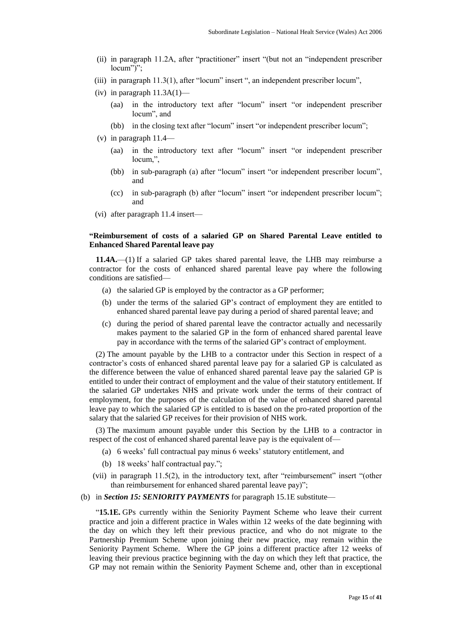- (ii) in paragraph 11.2A, after "practitioner" insert "(but not an "independent prescriber locum")";
- (iii) in paragraph 11.3(1), after "locum" insert ", an independent prescriber locum",
- (iv) in paragraph  $11.3A(1)$ 
	- (aa) in the introductory text after "locum" insert "or independent prescriber locum", and
	- (bb) in the closing text after "locum" insert "or independent prescriber locum";
- (v) in paragraph 11.4—
	- (aa) in the introductory text after "locum" insert "or independent prescriber locum,",
	- (bb) in sub-paragraph (a) after "locum" insert "or independent prescriber locum", and
	- (cc) in sub-paragraph (b) after "locum" insert "or independent prescriber locum"; and
- (vi) after paragraph 11.4 insert—

## **"Reimbursement of costs of a salaried GP on Shared Parental Leave entitled to Enhanced Shared Parental leave pay**

**11.4A.**—(1) If a salaried GP takes shared parental leave, the LHB may reimburse a contractor for the costs of enhanced shared parental leave pay where the following conditions are satisfied—

- (a) the salaried GP is employed by the contractor as a GP performer;
- (b) under the terms of the salaried GP's contract of employment they are entitled to enhanced shared parental leave pay during a period of shared parental leave; and
- (c) during the period of shared parental leave the contractor actually and necessarily makes payment to the salaried GP in the form of enhanced shared parental leave pay in accordance with the terms of the salaried GP's contract of employment.

(2) The amount payable by the LHB to a contractor under this Section in respect of a contractor's costs of enhanced shared parental leave pay for a salaried GP is calculated as the difference between the value of enhanced shared parental leave pay the salaried GP is entitled to under their contract of employment and the value of their statutory entitlement. If the salaried GP undertakes NHS and private work under the terms of their contract of employment, for the purposes of the calculation of the value of enhanced shared parental leave pay to which the salaried GP is entitled to is based on the pro-rated proportion of the salary that the salaried GP receives for their provision of NHS work.

(3) The maximum amount payable under this Section by the LHB to a contractor in respect of the cost of enhanced shared parental leave pay is the equivalent of—

- (a) 6 weeks' full contractual pay minus 6 weeks' statutory entitlement, and
- (b) 18 weeks' half contractual pay.";
- (vii) in paragraph 11.5(2), in the introductory text, after "reimbursement" insert "(other than reimbursement for enhanced shared parental leave pay)";
- (b) in *Section 15: SENIORITY PAYMENTS* for paragraph 15.1E substitute—

"**15.1E.** GPs currently within the Seniority Payment Scheme who leave their current practice and join a different practice in Wales within 12 weeks of the date beginning with the day on which they left their previous practice, and who do not migrate to the Partnership Premium Scheme upon joining their new practice, may remain within the Seniority Payment Scheme. Where the GP joins a different practice after 12 weeks of leaving their previous practice beginning with the day on which they left that practice, the GP may not remain within the Seniority Payment Scheme and, other than in exceptional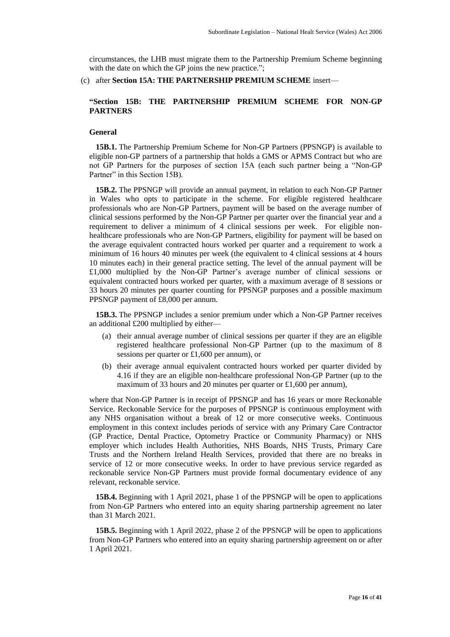circumstances, the LHB must migrate them to the Partnership Premium Scheme beginning with the date on which the GP joins the new practice.";

(c) after **Section 15A: THE PARTNERSHIP PREMIUM SCHEME** insert—

## **"Section 15B: THE PARTNERSHIP PREMIUM SCHEME FOR NON-GP PARTNERS**

## **General**

**15B.1.** The Partnership Premium Scheme for Non-GP Partners (PPSNGP) is available to eligible non-GP partners of a partnership that holds a GMS or APMS Contract but who are not GP Partners for the purposes of section 15A (each such partner being a "Non-GP Partner" in this Section 15B).

**15B.2.** The PPSNGP will provide an annual payment, in relation to each Non-GP Partner in Wales who opts to participate in the scheme. For eligible registered healthcare professionals who are Non-GP Partners, payment will be based on the average number of clinical sessions performed by the Non-GP Partner per quarter over the financial year and a requirement to deliver a minimum of 4 clinical sessions per week. For eligible nonhealthcare professionals who are Non-GP Partners, eligibility for payment will be based on the average equivalent contracted hours worked per quarter and a requirement to work a minimum of 16 hours 40 minutes per week (the equivalent to 4 clinical sessions at 4 hours 10 minutes each) in their general practice setting. The level of the annual payment will be £1,000 multiplied by the Non-GP Partner's average number of clinical sessions or equivalent contracted hours worked per quarter, with a maximum average of 8 sessions or 33 hours 20 minutes per quarter counting for PPSNGP purposes and a possible maximum PPSNGP payment of £8,000 per annum.

**15B.3.** The PPSNGP includes a senior premium under which a Non-GP Partner receives an additional £200 multiplied by either—

- (a) their annual average number of clinical sessions per quarter if they are an eligible registered healthcare professional Non-GP Partner (up to the maximum of 8 sessions per quarter or £1,600 per annum), or
- (b) their average annual equivalent contracted hours worked per quarter divided by 4.16 if they are an eligible non-healthcare professional Non-GP Partner (up to the maximum of 33 hours and 20 minutes per quarter or £1,600 per annum),

where that Non-GP Partner is in receipt of PPSNGP and has 16 years or more Reckonable Service. Reckonable Service for the purposes of PPSNGP is continuous employment with any NHS organisation without a break of 12 or more consecutive weeks. Continuous employment in this context includes periods of service with any Primary Care Contractor (GP Practice, Dental Practice, Optometry Practice or Community Pharmacy) or NHS employer which includes Health Authorities, NHS Boards, NHS Trusts, Primary Care Trusts and the Northern Ireland Health Services, provided that there are no breaks in service of 12 or more consecutive weeks. In order to have previous service regarded as reckonable service Non-GP Partners must provide formal documentary evidence of any relevant, reckonable service.

**15B.4.** Beginning with 1 April 2021, phase 1 of the PPSNGP will be open to applications from Non-GP Partners who entered into an equity sharing partnership agreement no later than 31 March 2021.

**15B.5.** Beginning with 1 April 2022, phase 2 of the PPSNGP will be open to applications from Non-GP Partners who entered into an equity sharing partnership agreement on or after 1 April 2021.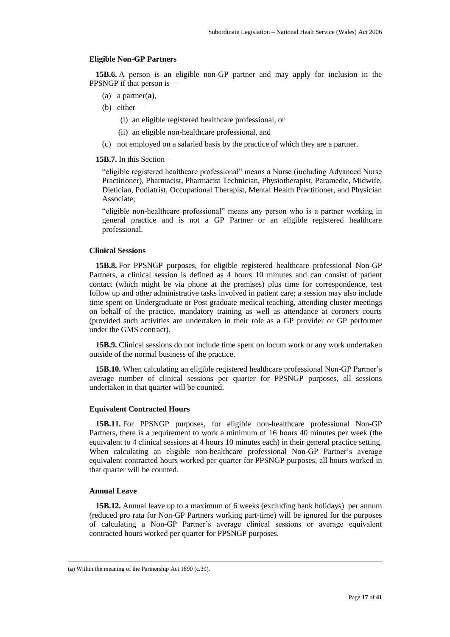#### **Eligible Non-GP Partners**

**15B.6.** A person is an eligible non-GP partner and may apply for inclusion in the PPSNGP if that person is—

- (a) a partner(**a**),
- (b) either—
	- (i) an eligible registered healthcare professional, or
	- (ii) an eligible non-healthcare professional, and
- (c) not employed on a salaried basis by the practice of which they are a partner.

## **15B.7.** In this Section—

"eligible registered healthcare professional" means a Nurse (including Advanced Nurse Practitioner), Pharmacist, Pharmacist Technician, Physiotherapist, Paramedic, Midwife, Dietician, Podiatrist, Occupational Therapist, Mental Health Practitioner, and Physician Associate;

"eligible non-healthcare professional" means any person who is a partner working in general practice and is not a GP Partner or an eligible registered healthcare professional.

## **Clinical Sessions**

**15B.8.** For PPSNGP purposes, for eligible registered healthcare professional Non-GP Partners, a clinical session is defined as 4 hours 10 minutes and can consist of patient contact (which might be via phone at the premises) plus time for correspondence, test follow up and other administrative tasks involved in patient care; a session may also include time spent on Undergraduate or Post graduate medical teaching, attending cluster meetings on behalf of the practice, mandatory training as well as attendance at coroners courts (provided such activities are undertaken in their role as a GP provider or GP performer under the GMS contract).

**15B.9.** Clinical sessions do not include time spent on locum work or any work undertaken outside of the normal business of the practice.

**15B.10.** When calculating an eligible registered healthcare professional Non-GP Partner's average number of clinical sessions per quarter for PPSNGP purposes, all sessions undertaken in that quarter will be counted.

#### **Equivalent Contracted Hours**

**15B.11.** For PPSNGP purposes, for eligible non-healthcare professional Non-GP Partners, there is a requirement to work a minimum of 16 hours 40 minutes per week (the equivalent to 4 clinical sessions at 4 hours 10 minutes each) in their general practice setting. When calculating an eligible non-healthcare professional Non-GP Partner's average equivalent contracted hours worked per quarter for PPSNGP purposes, all hours worked in that quarter will be counted.

### **Annual Leave**

 $\overline{a}$ 

**15B.12.** Annual leave up to a maximum of 6 weeks (excluding bank holidays) per annum (reduced pro rata for Non-GP Partners working part-time) will be ignored for the purposes of calculating a Non-GP Partner's average clinical sessions or average equivalent contracted hours worked per quarter for PPSNGP purposes.

<sup>(</sup>**a**) Within the meaning of the Partnership Act 1890 (c.39).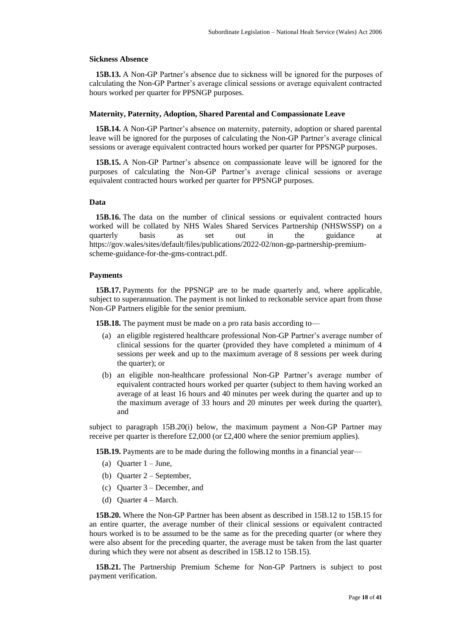#### **Sickness Absence**

**15B.13.** A Non-GP Partner's absence due to sickness will be ignored for the purposes of calculating the Non-GP Partner's average clinical sessions or average equivalent contracted hours worked per quarter for PPSNGP purposes.

#### **Maternity, Paternity, Adoption, Shared Parental and Compassionate Leave**

**15B.14.** A Non-GP Partner's absence on maternity, paternity, adoption or shared parental leave will be ignored for the purposes of calculating the Non-GP Partner's average clinical sessions or average equivalent contracted hours worked per quarter for PPSNGP purposes.

**15B.15.** A Non-GP Partner's absence on compassionate leave will be ignored for the purposes of calculating the Non-GP Partner's average clinical sessions or average equivalent contracted hours worked per quarter for PPSNGP purposes.

## **Data**

**15B.16.** The data on the number of clinical sessions or equivalent contracted hours worked will be collated by NHS Wales Shared Services Partnership (NHSWSSP) on a quarterly basis as set out in the guidance at [https://gov.wales/sites/default/files/publications/2022-02/non-gp-partnership-premium](https://gov.wales/sites/default/files/publications/2022-02/non-gp-partnership-premium-scheme-guidance-for-the-gms-contract.pdf)[scheme-guidance-for-the-gms-contract.pdf.](https://gov.wales/sites/default/files/publications/2022-02/non-gp-partnership-premium-scheme-guidance-for-the-gms-contract.pdf)

#### **Payments**

**15B.17.** Payments for the PPSNGP are to be made quarterly and, where applicable, subject to superannuation. The payment is not linked to reckonable service apart from those Non-GP Partners eligible for the senior premium.

**15B.18.** The payment must be made on a pro rata basis according to—

- (a) an eligible registered healthcare professional Non-GP Partner's average number of clinical sessions for the quarter (provided they have completed a minimum of 4 sessions per week and up to the maximum average of 8 sessions per week during the quarter); or
- (b) an eligible non-healthcare professional Non-GP Partner's average number of equivalent contracted hours worked per quarter (subject to them having worked an average of at least 16 hours and 40 minutes per week during the quarter and up to the maximum average of 33 hours and 20 minutes per week during the quarter), and

subject to paragraph 15B.20(i) below, the maximum payment a Non-GP Partner may receive per quarter is therefore £2,000 (or £2,400 where the senior premium applies).

**15B.19.** Payments are to be made during the following months in a financial year—

- (a) Quarter  $1 -$  June,
- (b) Quarter 2 September,
- (c) Quarter 3 December, and
- (d) Ouarter  $4 March$ .

**15B.20.** Where the Non-GP Partner has been absent as described in 15B.12 to 15B.15 for an entire quarter, the average number of their clinical sessions or equivalent contracted hours worked is to be assumed to be the same as for the preceding quarter (or where they were also absent for the preceding quarter, the average must be taken from the last quarter during which they were not absent as described in 15B.12 to 15B.15).

**15B.21.** The Partnership Premium Scheme for Non-GP Partners is subject to post payment verification.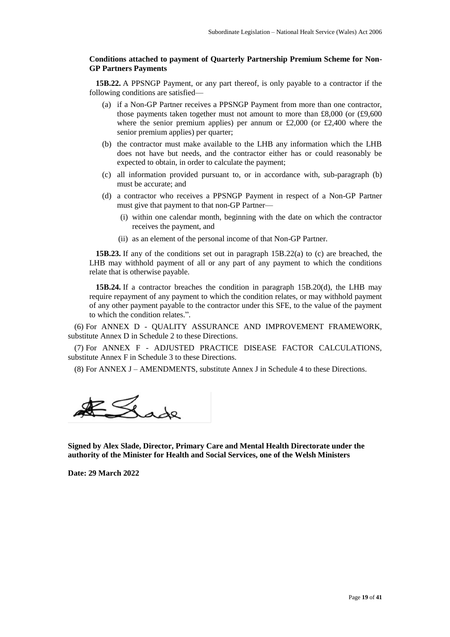## **Conditions attached to payment of Quarterly Partnership Premium Scheme for Non-GP Partners Payments**

**15B.22.** A PPSNGP Payment, or any part thereof, is only payable to a contractor if the following conditions are satisfied—

- (a) if a Non-GP Partner receives a PPSNGP Payment from more than one contractor, those payments taken together must not amount to more than £8,000 (or  $(\text{\pounds}9,600)$ ) where the senior premium applies) per annum or  $\text{\pounds}2,000$  (or  $\text{\pounds}2,400$  where the senior premium applies) per quarter;
- (b) the contractor must make available to the LHB any information which the LHB does not have but needs, and the contractor either has or could reasonably be expected to obtain, in order to calculate the payment;
- (c) all information provided pursuant to, or in accordance with, sub-paragraph (b) must be accurate; and
- (d) a contractor who receives a PPSNGP Payment in respect of a Non-GP Partner must give that payment to that non-GP Partner—
	- (i) within one calendar month, beginning with the date on which the contractor receives the payment, and
	- (ii) as an element of the personal income of that Non-GP Partner.

**15B.23.** If any of the conditions set out in paragraph 15B.22(a) to (c) are breached, the LHB may withhold payment of all or any part of any payment to which the conditions relate that is otherwise payable.

**15B.24.** If a contractor breaches the condition in paragraph 15B.20(d), the LHB may require repayment of any payment to which the condition relates, or may withhold payment of any other payment payable to the contractor under this SFE, to the value of the payment to which the condition relates.".

(6) For ANNEX D - QUALITY ASSURANCE AND IMPROVEMENT FRAMEWORK, substitute Annex D in Schedule 2 to these Directions.

(7) For ANNEX F - ADJUSTED PRACTICE DISEASE FACTOR CALCULATIONS, substitute Annex F in Schedule 3 to these Directions.

(8) For ANNEX J – AMENDMENTS, substitute Annex J in Schedule 4 to these Directions.

 $5$  Shade

**Signed by Alex Slade, Director, Primary Care and Mental Health Directorate under the authority of the Minister for Health and Social Services, one of the Welsh Ministers**

**Date: 29 March 2022**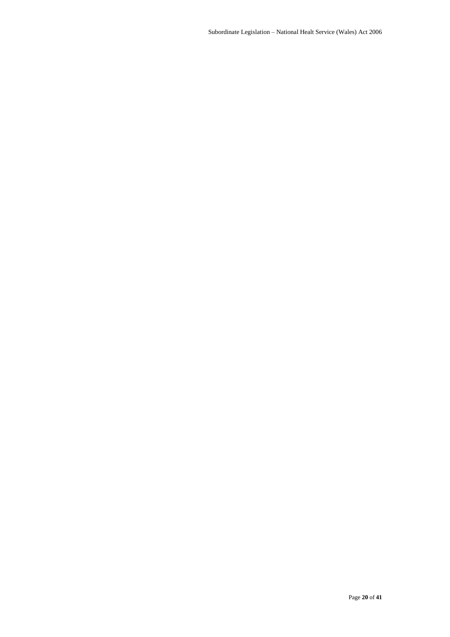Subordinate Legislation – National Healt Service (Wales) Act 2006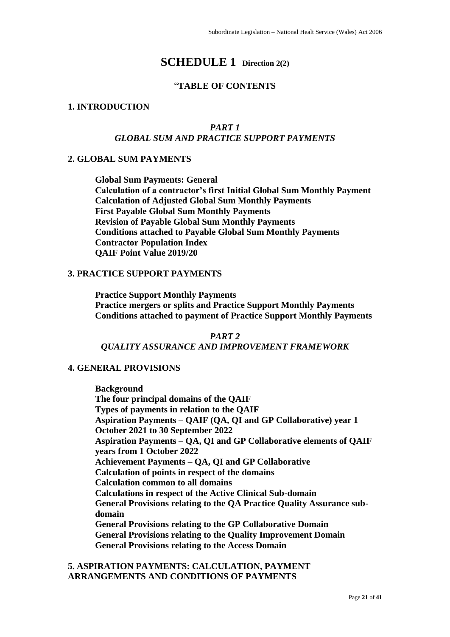# **SCHEDULE 1 Direction 2(2)**

## "**TABLE OF CONTENTS**

## **1. INTRODUCTION**

## *PART 1*

## *GLOBAL SUM AND PRACTICE SUPPORT PAYMENTS*

## **2. GLOBAL SUM PAYMENTS**

**Global Sum Payments: General Calculation of a contractor's first Initial Global Sum Monthly Payment Calculation of Adjusted Global Sum Monthly Payments First Payable Global Sum Monthly Payments Revision of Payable Global Sum Monthly Payments Conditions attached to Payable Global Sum Monthly Payments Contractor Population Index QAIF Point Value 2019/20**

## **3. PRACTICE SUPPORT PAYMENTS**

**Practice Support Monthly Payments Practice mergers or splits and Practice Support Monthly Payments Conditions attached to payment of Practice Support Monthly Payments**

*PART 2 QUALITY ASSURANCE AND IMPROVEMENT FRAMEWORK*

## **4. GENERAL PROVISIONS**

**Background The four principal domains of the QAIF Types of payments in relation to the QAIF Aspiration Payments – QAIF (QA, QI and GP Collaborative) year 1 October 2021 to 30 September 2022 Aspiration Payments – QA, QI and GP Collaborative elements of QAIF years from 1 October 2022 Achievement Payments – QA, QI and GP Collaborative Calculation of points in respect of the domains Calculation common to all domains Calculations in respect of the Active Clinical Sub-domain General Provisions relating to the QA Practice Quality Assurance subdomain General Provisions relating to the GP Collaborative Domain General Provisions relating to the Quality Improvement Domain General Provisions relating to the Access Domain**

**5. ASPIRATION PAYMENTS: CALCULATION, PAYMENT ARRANGEMENTS AND CONDITIONS OF PAYMENTS**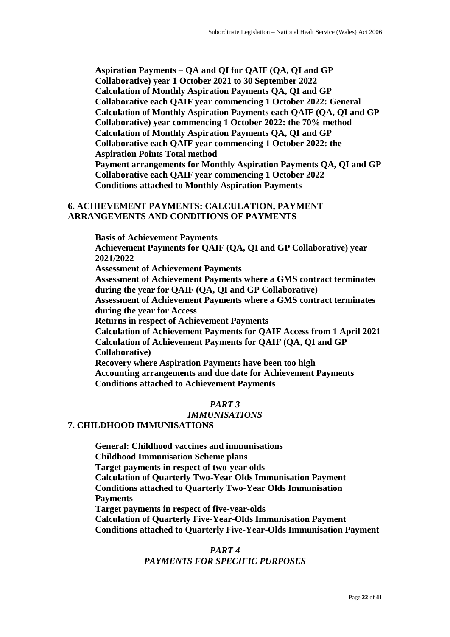**Aspiration Payments – QA and QI for QAIF (QA, QI and GP Collaborative) year 1 October 2021 to 30 September 2022 Calculation of Monthly Aspiration Payments QA, QI and GP Collaborative each QAIF year commencing 1 October 2022: General Calculation of Monthly Aspiration Payments each QAIF (QA, QI and GP Collaborative) year commencing 1 October 2022: the 70% method Calculation of Monthly Aspiration Payments QA, QI and GP Collaborative each QAIF year commencing 1 October 2022: the Aspiration Points Total method Payment arrangements for Monthly Aspiration Payments QA, QI and GP Collaborative each QAIF year commencing 1 October 2022 Conditions attached to Monthly Aspiration Payments**

## **6. ACHIEVEMENT PAYMENTS: CALCULATION, PAYMENT ARRANGEMENTS AND CONDITIONS OF PAYMENTS**

**Basis of Achievement Payments Achievement Payments for QAIF (QA, QI and GP Collaborative) year 2021/2022 Assessment of Achievement Payments Assessment of Achievement Payments where a GMS contract terminates during the year for QAIF (QA, QI and GP Collaborative) Assessment of Achievement Payments where a GMS contract terminates during the year for Access Returns in respect of Achievement Payments Calculation of Achievement Payments for QAIF Access from 1 April 2021 Calculation of Achievement Payments for QAIF (QA, QI and GP Collaborative) Recovery where Aspiration Payments have been too high Accounting arrangements and due date for Achievement Payments Conditions attached to Achievement Payments** 

## *PART 3*

## *IMMUNISATIONS*

## **7. CHILDHOOD IMMUNISATIONS**

**General: Childhood vaccines and immunisations Childhood Immunisation Scheme plans Target payments in respect of two-year olds Calculation of Quarterly Two-Year Olds Immunisation Payment Conditions attached to Quarterly Two-Year Olds Immunisation Payments Target payments in respect of five-year-olds Calculation of Quarterly Five-Year-Olds Immunisation Payment Conditions attached to Quarterly Five-Year-Olds Immunisation Payment** 

## *PART 4 PAYMENTS FOR SPECIFIC PURPOSES*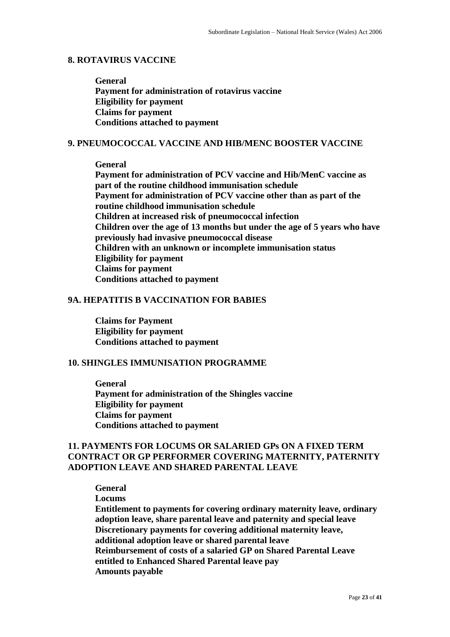## **8. ROTAVIRUS VACCINE**

**General Payment for administration of rotavirus vaccine Eligibility for payment Claims for payment Conditions attached to payment** 

## **9. PNEUMOCOCCAL VACCINE AND HIB/MENC BOOSTER VACCINE**

## **General**

**Payment for administration of PCV vaccine and Hib/MenC vaccine as part of the routine childhood immunisation schedule Payment for administration of PCV vaccine other than as part of the routine childhood immunisation schedule Children at increased risk of pneumococcal infection Children over the age of 13 months but under the age of 5 years who have previously had invasive pneumococcal disease Children with an unknown or incomplete immunisation status Eligibility for payment Claims for payment Conditions attached to payment** 

## **9A. HEPATITIS B VACCINATION FOR BABIES**

**Claims for Payment Eligibility for payment Conditions attached to payment**

## **10. SHINGLES IMMUNISATION PROGRAMME**

**General Payment for administration of the Shingles vaccine Eligibility for payment Claims for payment Conditions attached to payment** 

## **11. PAYMENTS FOR LOCUMS OR SALARIED GPs ON A FIXED TERM CONTRACT OR GP PERFORMER COVERING MATERNITY, PATERNITY ADOPTION LEAVE AND SHARED PARENTAL LEAVE**

**General Locums**

**Entitlement to payments for covering ordinary maternity leave, ordinary adoption leave, share parental leave and paternity and special leave Discretionary payments for covering additional maternity leave, additional adoption leave or shared parental leave Reimbursement of costs of a salaried GP on Shared Parental Leave entitled to Enhanced Shared Parental leave pay Amounts payable**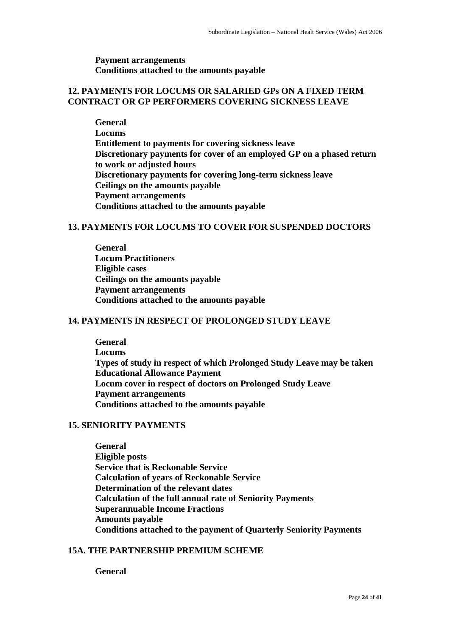**Payment arrangements Conditions attached to the amounts payable** 

## **12. PAYMENTS FOR LOCUMS OR SALARIED GPs ON A FIXED TERM CONTRACT OR GP PERFORMERS COVERING SICKNESS LEAVE**

**General Locums Entitlement to payments for covering sickness leave Discretionary payments for cover of an employed GP on a phased return to work or adjusted hours Discretionary payments for covering long-term sickness leave Ceilings on the amounts payable Payment arrangements Conditions attached to the amounts payable** 

## **13. PAYMENTS FOR LOCUMS TO COVER FOR SUSPENDED DOCTORS**

**General Locum Practitioners Eligible cases Ceilings on the amounts payable Payment arrangements Conditions attached to the amounts payable** 

## **14. PAYMENTS IN RESPECT OF PROLONGED STUDY LEAVE**

**General Locums Types of study in respect of which Prolonged Study Leave may be taken Educational Allowance Payment Locum cover in respect of doctors on Prolonged Study Leave Payment arrangements Conditions attached to the amounts payable** 

## **15. SENIORITY PAYMENTS**

**General Eligible posts Service that is Reckonable Service Calculation of years of Reckonable Service Determination of the relevant dates Calculation of the full annual rate of Seniority Payments Superannuable Income Fractions Amounts payable Conditions attached to the payment of Quarterly Seniority Payments** 

## **15A. THE PARTNERSHIP PREMIUM SCHEME**

**General**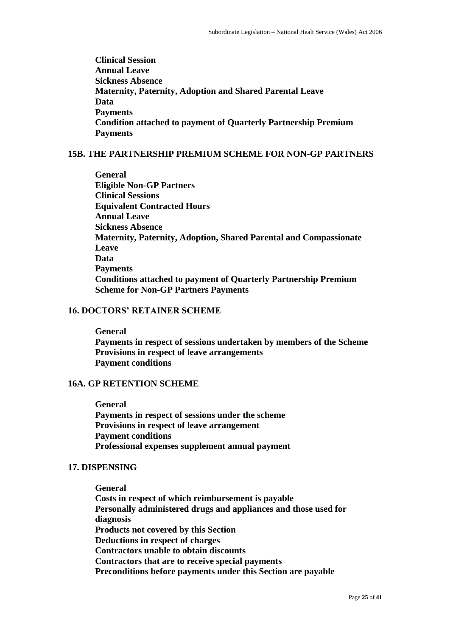**Clinical Session Annual Leave Sickness Absence Maternity, Paternity, Adoption and Shared Parental Leave Data Payments Condition attached to payment of Quarterly Partnership Premium Payments** 

## **15B. THE PARTNERSHIP PREMIUM SCHEME FOR NON-GP PARTNERS**

**General Eligible Non-GP Partners Clinical Sessions Equivalent Contracted Hours Annual Leave Sickness Absence Maternity, Paternity, Adoption, Shared Parental and Compassionate Leave Data Payments Conditions attached to payment of Quarterly Partnership Premium Scheme for Non-GP Partners Payments**

## **16. DOCTORS' RETAINER SCHEME**

**General Payments in respect of sessions undertaken by members of the Scheme Provisions in respect of leave arrangements Payment conditions** 

## **16A. GP RETENTION SCHEME**

**General Payments in respect of sessions under the scheme Provisions in respect of leave arrangement Payment conditions Professional expenses supplement annual payment**

## **17. DISPENSING**

**General Costs in respect of which reimbursement is payable Personally administered drugs and appliances and those used for diagnosis Products not covered by this Section Deductions in respect of charges Contractors unable to obtain discounts Contractors that are to receive special payments Preconditions before payments under this Section are payable**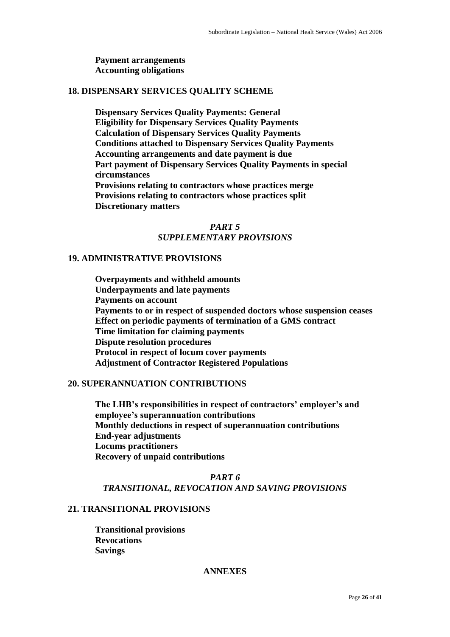**Payment arrangements Accounting obligations** 

## **18. DISPENSARY SERVICES QUALITY SCHEME**

**Dispensary Services Quality Payments: General Eligibility for Dispensary Services Quality Payments Calculation of Dispensary Services Quality Payments Conditions attached to Dispensary Services Quality Payments Accounting arrangements and date payment is due Part payment of Dispensary Services Quality Payments in special circumstances Provisions relating to contractors whose practices merge Provisions relating to contractors whose practices split Discretionary matters** 

## *PART 5 SUPPLEMENTARY PROVISIONS*

## **19. ADMINISTRATIVE PROVISIONS**

**Overpayments and withheld amounts Underpayments and late payments Payments on account Payments to or in respect of suspended doctors whose suspension ceases Effect on periodic payments of termination of a GMS contract Time limitation for claiming payments Dispute resolution procedures Protocol in respect of locum cover payments Adjustment of Contractor Registered Populations** 

## **20. SUPERANNUATION CONTRIBUTIONS**

**The LHB's responsibilities in respect of contractors' employer's and employee's superannuation contributions Monthly deductions in respect of superannuation contributions End-year adjustments Locums practitioners Recovery of unpaid contributions** 

# *PART 6 TRANSITIONAL, REVOCATION AND SAVING PROVISIONS*

## **21. TRANSITIONAL PROVISIONS**

**Transitional provisions Revocations Savings** 

## **ANNEXES**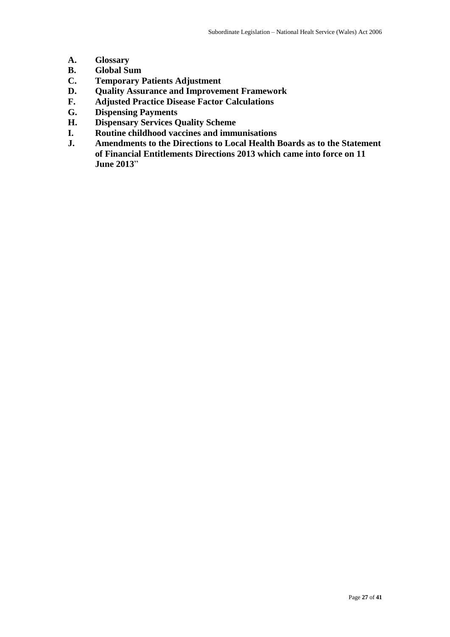- **A. Glossary**
- **B. Global Sum**
- **C. Temporary Patients Adjustment**
- **D.** Quality Assurance and Improvement Framework<br> **F.** Adjusted Practice Disease Factor Calculations
- **F. Adjusted Practice Disease Factor Calculations**
- **G. Dispensing Payments**
- **Dispensary Services Quality Scheme**
- **I. Routine childhood vaccines and immunisations**
- **J. Amendments to the Directions to Local Health Boards as to the Statement of Financial Entitlements Directions 2013 which came into force on 11 June 2013**"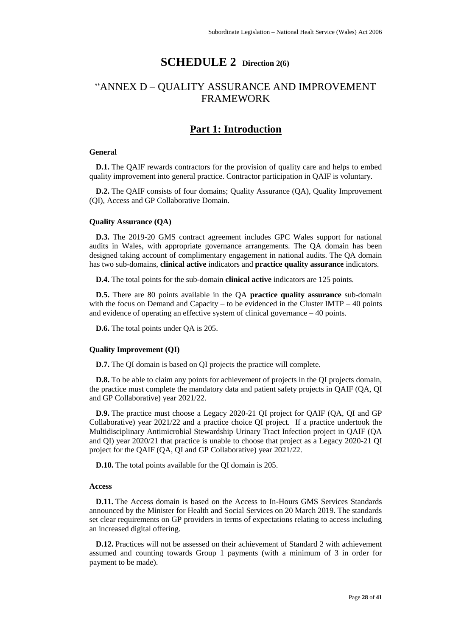# **SCHEDULE 2 Direction 2(6)**

# "ANNEX D – QUALITY ASSURANCE AND IMPROVEMENT FRAMEWORK

# **Part 1: Introduction**

### **General**

**D.1.** The QAIF rewards contractors for the provision of quality care and helps to embed quality improvement into general practice. Contractor participation in QAIF is voluntary.

**D.2.** The QAIF consists of four domains; Quality Assurance (QA), Quality Improvement (QI), Access and GP Collaborative Domain.

## **Quality Assurance (QA)**

**D.3.** The 2019-20 GMS contract agreement includes GPC Wales support for national audits in Wales, with appropriate governance arrangements. The QA domain has been designed taking account of complimentary engagement in national audits. The QA domain has two sub-domains, **clinical active** indicators and **practice quality assurance** indicators.

**D.4.** The total points for the sub-domain **clinical active** indicators are 125 points.

**D.5.** There are 80 points available in the QA **practice quality assurance** sub-domain with the focus on Demand and Capacity – to be evidenced in the Cluster IMTP – 40 points and evidence of operating an effective system of clinical governance – 40 points.

**D.6.** The total points under QA is 205.

#### **Quality Improvement (QI)**

**D.7.** The QI domain is based on QI projects the practice will complete.

**D.8.** To be able to claim any points for achievement of projects in the QI projects domain, the practice must complete the mandatory data and patient safety projects in QAIF (QA, QI and GP Collaborative) year 2021/22.

**D.9.** The practice must choose a Legacy 2020-21 QI project for QAIF (QA, QI and GP Collaborative) year 2021/22 and a practice choice QI project. If a practice undertook the Multidisciplinary Antimicrobial Stewardship Urinary Tract Infection project in QAIF (QA and QI) year 2020/21 that practice is unable to choose that project as a Legacy 2020-21 QI project for the QAIF (QA, QI and GP Collaborative) year 2021/22.

**D.10.** The total points available for the QI domain is 205.

#### **Access**

**D.11.** The Access domain is based on the Access to In-Hours GMS Services Standards announced by the Minister for Health and Social Services on 20 March 2019. The standards set clear requirements on GP providers in terms of expectations relating to access including an increased digital offering.

**D.12.** Practices will not be assessed on their achievement of Standard 2 with achievement assumed and counting towards Group 1 payments (with a minimum of 3 in order for payment to be made).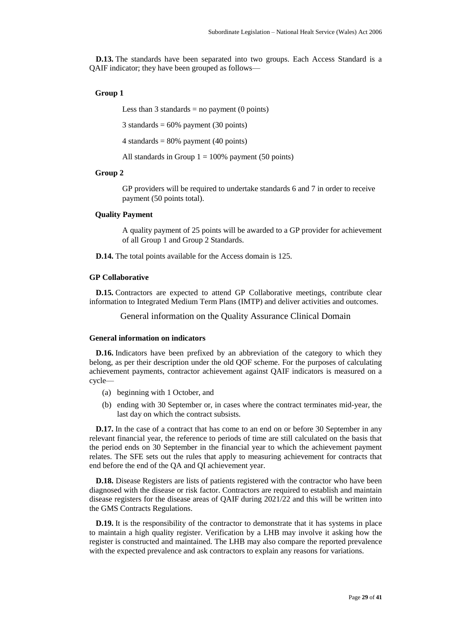**D.13.** The standards have been separated into two groups. Each Access Standard is a QAIF indicator; they have been grouped as follows—

#### **Group 1**

Less than 3 standards = no payment  $(0 \text{ points})$ 

 $3$  standards = 60% payment (30 points)

4 standards = 80% payment (40 points)

All standards in Group  $1 = 100\%$  payment (50 points)

### **Group 2**

GP providers will be required to undertake standards 6 and 7 in order to receive payment (50 points total).

#### **Quality Payment**

A quality payment of 25 points will be awarded to a GP provider for achievement of all Group 1 and Group 2 Standards.

**D.14.** The total points available for the Access domain is 125.

## **GP Collaborative**

**D.15.** Contractors are expected to attend GP Collaborative meetings, contribute clear information to Integrated Medium Term Plans (IMTP) and deliver activities and outcomes.

General information on the Quality Assurance Clinical Domain

#### **General information on indicators**

**D.16.** Indicators have been prefixed by an abbreviation of the category to which they belong, as per their description under the old QOF scheme. For the purposes of calculating achievement payments, contractor achievement against QAIF indicators is measured on a cycle—

- (a) beginning with 1 October, and
- (b) ending with 30 September or, in cases where the contract terminates mid-year, the last day on which the contract subsists.

**D.17.** In the case of a contract that has come to an end on or before 30 September in any relevant financial year, the reference to periods of time are still calculated on the basis that the period ends on 30 September in the financial year to which the achievement payment relates. The SFE sets out the rules that apply to measuring achievement for contracts that end before the end of the QA and QI achievement year.

**D.18.** Disease Registers are lists of patients registered with the contractor who have been diagnosed with the disease or risk factor. Contractors are required to establish and maintain disease registers for the disease areas of QAIF during 2021/22 and this will be written into the GMS Contracts Regulations.

**D.19.** It is the responsibility of the contractor to demonstrate that it has systems in place to maintain a high quality register. Verification by a LHB may involve it asking how the register is constructed and maintained. The LHB may also compare the reported prevalence with the expected prevalence and ask contractors to explain any reasons for variations.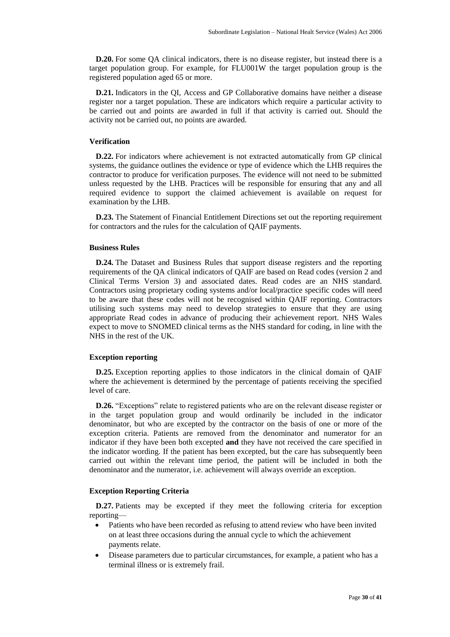**D.20.** For some QA clinical indicators, there is no disease register, but instead there is a target population group. For example, for FLU001W the target population group is the registered population aged 65 or more.

**D.21.** Indicators in the QI, Access and GP Collaborative domains have neither a disease register nor a target population. These are indicators which require a particular activity to be carried out and points are awarded in full if that activity is carried out. Should the activity not be carried out, no points are awarded.

## **Verification**

**D.22.** For indicators where achievement is not extracted automatically from GP clinical systems, the guidance outlines the evidence or type of evidence which the LHB requires the contractor to produce for verification purposes. The evidence will not need to be submitted unless requested by the LHB. Practices will be responsible for ensuring that any and all required evidence to support the claimed achievement is available on request for examination by the LHB.

**D.23.** The Statement of Financial Entitlement Directions set out the reporting requirement for contractors and the rules for the calculation of QAIF payments.

## **Business Rules**

**D.24.** The Dataset and Business Rules that support disease registers and the reporting requirements of the QA clinical indicators of QAIF are based on Read codes (version 2 and Clinical Terms Version 3) and associated dates. Read codes are an NHS standard. Contractors using proprietary coding systems and/or local/practice specific codes will need to be aware that these codes will not be recognised within QAIF reporting. Contractors utilising such systems may need to develop strategies to ensure that they are using appropriate Read codes in advance of producing their achievement report. NHS Wales expect to move to SNOMED clinical terms as the NHS standard for coding, in line with the NHS in the rest of the UK.

## **Exception reporting**

**D.25.** Exception reporting applies to those indicators in the clinical domain of QAIF where the achievement is determined by the percentage of patients receiving the specified level of care.

**D.26.** "Exceptions" relate to registered patients who are on the relevant disease register or in the target population group and would ordinarily be included in the indicator denominator, but who are excepted by the contractor on the basis of one or more of the exception criteria. Patients are removed from the denominator and numerator for an indicator if they have been both excepted **and** they have not received the care specified in the indicator wording. If the patient has been excepted, but the care has subsequently been carried out within the relevant time period, the patient will be included in both the denominator and the numerator, i.e. achievement will always override an exception.

### **Exception Reporting Criteria**

**D.27.** Patients may be excepted if they meet the following criteria for exception reporting—

- Patients who have been recorded as refusing to attend review who have been invited on at least three occasions during the annual cycle to which the achievement payments relate.
- Disease parameters due to particular circumstances, for example, a patient who has a terminal illness or is extremely frail.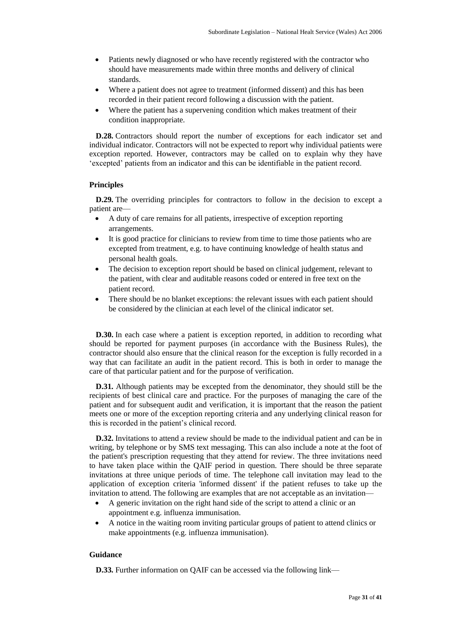- Patients newly diagnosed or who have recently registered with the contractor who should have measurements made within three months and delivery of clinical standards.
- Where a patient does not agree to treatment (informed dissent) and this has been recorded in their patient record following a discussion with the patient.
- Where the patient has a supervening condition which makes treatment of their condition inappropriate.

**D.28.** Contractors should report the number of exceptions for each indicator set and individual indicator. Contractors will not be expected to report why individual patients were exception reported. However, contractors may be called on to explain why they have 'excepted' patients from an indicator and this can be identifiable in the patient record.

#### **Principles**

**D.29.** The overriding principles for contractors to follow in the decision to except a patient are—

- A duty of care remains for all patients, irrespective of exception reporting arrangements.
- It is good practice for clinicians to review from time to time those patients who are excepted from treatment, e.g. to have continuing knowledge of health status and personal health goals.
- The decision to exception report should be based on clinical judgement, relevant to the patient, with clear and auditable reasons coded or entered in free text on the patient record.
- There should be no blanket exceptions: the relevant issues with each patient should be considered by the clinician at each level of the clinical indicator set.

**D.30.** In each case where a patient is exception reported, in addition to recording what should be reported for payment purposes (in accordance with the Business Rules), the contractor should also ensure that the clinical reason for the exception is fully recorded in a way that can facilitate an audit in the patient record. This is both in order to manage the care of that particular patient and for the purpose of verification.

**D.31.** Although patients may be excepted from the denominator, they should still be the recipients of best clinical care and practice. For the purposes of managing the care of the patient and for subsequent audit and verification, it is important that the reason the patient meets one or more of the exception reporting criteria and any underlying clinical reason for this is recorded in the patient's clinical record.

**D.32.** Invitations to attend a review should be made to the individual patient and can be in writing, by telephone or by SMS text messaging. This can also include a note at the foot of the patient's prescription requesting that they attend for review. The three invitations need to have taken place within the QAIF period in question. There should be three separate invitations at three unique periods of time. The telephone call invitation may lead to the application of exception criteria 'informed dissent' if the patient refuses to take up the invitation to attend. The following are examples that are not acceptable as an invitation—

- A generic invitation on the right hand side of the script to attend a clinic or an appointment e.g. influenza immunisation.
- A notice in the waiting room inviting particular groups of patient to attend clinics or make appointments (e.g. influenza immunisation).

### **Guidance**

**D.33.** Further information on QAIF can be accessed via the following link—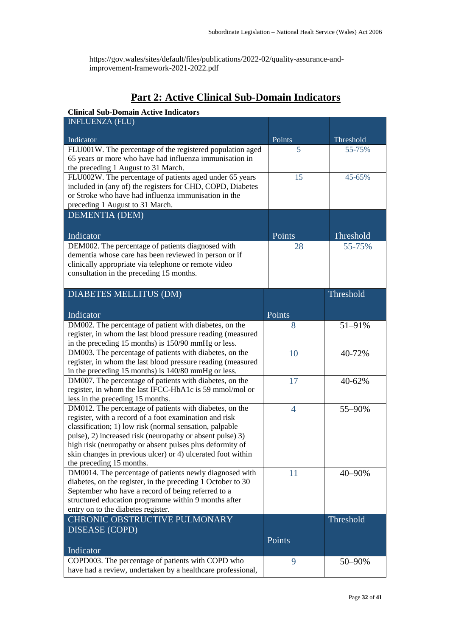[https://gov.wales/sites/default/files/publications/2022-02/quality-assurance-and](https://gov.wales/sites/default/files/publications/2022-02/quality-assurance-and-improvement-framework-2021-2022.pdf)[improvement-framework-2021-2022.pdf](https://gov.wales/sites/default/files/publications/2022-02/quality-assurance-and-improvement-framework-2021-2022.pdf)

# **Part 2: Active Clinical Sub-Domain Indicators**

## **Clinical Sub-Domain Active Indicators**

| <b>INFLUENZA (FLU)</b>                                                                                                                                                                                                                                                                                                                                                                           |                |           |
|--------------------------------------------------------------------------------------------------------------------------------------------------------------------------------------------------------------------------------------------------------------------------------------------------------------------------------------------------------------------------------------------------|----------------|-----------|
| Indicator                                                                                                                                                                                                                                                                                                                                                                                        | Points         | Threshold |
| FLU001W. The percentage of the registered population aged<br>65 years or more who have had influenza immunisation in<br>the preceding 1 August to 31 March.                                                                                                                                                                                                                                      | 5              | 55-75%    |
| FLU002W. The percentage of patients aged under 65 years<br>included in (any of) the registers for CHD, COPD, Diabetes<br>or Stroke who have had influenza immunisation in the<br>preceding 1 August to 31 March.                                                                                                                                                                                 | 15             | 45-65%    |
| <b>DEMENTIA (DEM)</b>                                                                                                                                                                                                                                                                                                                                                                            |                |           |
| Indicator                                                                                                                                                                                                                                                                                                                                                                                        | Points         | Threshold |
| DEM002. The percentage of patients diagnosed with<br>dementia whose care has been reviewed in person or if<br>clinically appropriate via telephone or remote video<br>consultation in the preceding 15 months.                                                                                                                                                                                   | 28             | 55-75%    |
| DIABETES MELLITUS (DM)                                                                                                                                                                                                                                                                                                                                                                           |                | Threshold |
| Indicator                                                                                                                                                                                                                                                                                                                                                                                        | Points         |           |
| DM002. The percentage of patient with diabetes, on the<br>register, in whom the last blood pressure reading (measured<br>in the preceding 15 months) is 150/90 mmHg or less.                                                                                                                                                                                                                     | 8              | 51-91%    |
| DM003. The percentage of patients with diabetes, on the<br>register, in whom the last blood pressure reading (measured<br>in the preceding 15 months) is 140/80 mmHg or less.                                                                                                                                                                                                                    | 10             | 40-72%    |
| DM007. The percentage of patients with diabetes, on the<br>register, in whom the last IFCC-HbA1c is 59 mmol/mol or<br>less in the preceding 15 months.                                                                                                                                                                                                                                           | 17             | 40-62%    |
| DM012. The percentage of patients with diabetes, on the<br>register, with a record of a foot examination and risk<br>classification; 1) low risk (normal sensation, palpable<br>pulse), 2) increased risk (neuropathy or absent pulse) 3)<br>high risk (neuropathy or absent pulses plus deformity of<br>skin changes in previous ulcer) or 4) ulcerated foot within<br>the preceding 15 months. | $\overline{4}$ | 55-90%    |
| DM0014. The percentage of patients newly diagnosed with<br>diabetes, on the register, in the preceding 1 October to 30<br>September who have a record of being referred to a<br>structured education programme within 9 months after<br>entry on to the diabetes register.                                                                                                                       | 11             | 40-90%    |
| CHRONIC OBSTRUCTIVE PULMONARY                                                                                                                                                                                                                                                                                                                                                                    |                | Threshold |
| <b>DISEASE (COPD)</b>                                                                                                                                                                                                                                                                                                                                                                            |                |           |
| Indicator                                                                                                                                                                                                                                                                                                                                                                                        | Points         |           |
| COPD003. The percentage of patients with COPD who<br>have had a review, undertaken by a healthcare professional,                                                                                                                                                                                                                                                                                 | 9              | 50-90%    |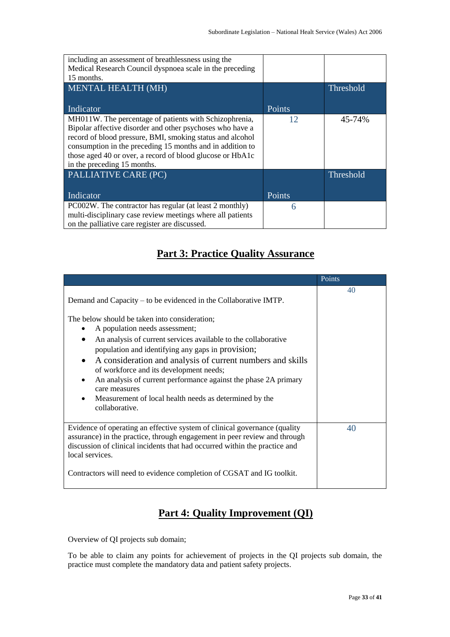| including an assessment of breathlessness using the<br>Medical Research Council dyspnoea scale in the preceding        |        |           |
|------------------------------------------------------------------------------------------------------------------------|--------|-----------|
| 15 months.                                                                                                             |        |           |
| MENTAL HEALTH (MH)                                                                                                     |        | Threshold |
|                                                                                                                        |        |           |
| Indicator                                                                                                              | Points |           |
| MH011W. The percentage of patients with Schizophrenia,                                                                 | 12     | 45-74%    |
| Bipolar affective disorder and other psychoses who have a                                                              |        |           |
| record of blood pressure, BMI, smoking status and alcohol                                                              |        |           |
| consumption in the preceding 15 months and in addition to<br>those aged 40 or over, a record of blood glucose or HbA1c |        |           |
| in the preceding 15 months.                                                                                            |        |           |
| PALLIATIVE CARE (PC)                                                                                                   |        | Threshold |
|                                                                                                                        |        |           |
| Indicator                                                                                                              | Points |           |
| PC002W. The contractor has regular (at least 2 monthly)                                                                | 6      |           |
| multi-disciplinary case review meetings where all patients                                                             |        |           |
| on the palliative care register are discussed.                                                                         |        |           |

# **Part 3: Practice Quality Assurance**

|                                                                                                                                                                                                                                                                                                                                                                                                                                                                                                                                                                  | Points |
|------------------------------------------------------------------------------------------------------------------------------------------------------------------------------------------------------------------------------------------------------------------------------------------------------------------------------------------------------------------------------------------------------------------------------------------------------------------------------------------------------------------------------------------------------------------|--------|
| Demand and Capacity – to be evidenced in the Collaborative IMTP.<br>The below should be taken into consideration;<br>A population needs assessment;<br>An analysis of current services available to the collaborative<br>population and identifying any gaps in provision;<br>A consideration and analysis of current numbers and skills<br>$\bullet$<br>of workforce and its development needs;<br>An analysis of current performance against the phase 2A primary<br>care measures<br>Measurement of local health needs as determined by the<br>collaborative. | 40     |
| Evidence of operating an effective system of clinical governance (quality<br>assurance) in the practice, through engagement in peer review and through<br>discussion of clinical incidents that had occurred within the practice and<br>local services.<br>Contractors will need to evidence completion of CGSAT and IG toolkit.                                                                                                                                                                                                                                 | 40     |

# **Part 4: Quality Improvement (QI)**

Overview of QI projects sub domain;

To be able to claim any points for achievement of projects in the QI projects sub domain, the practice must complete the mandatory data and patient safety projects.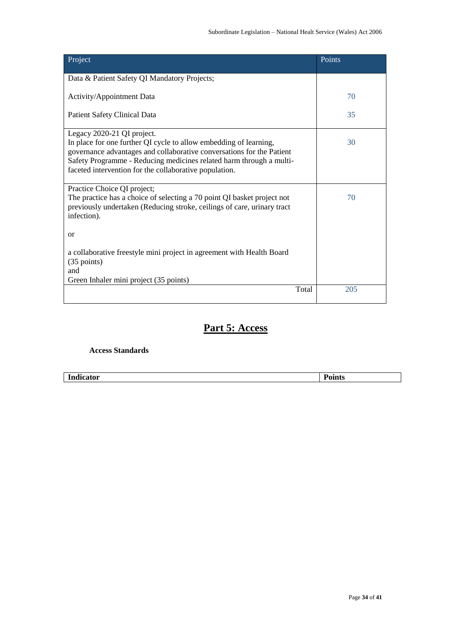| Project                                                                                                                                                                                                                                                                                                   | Points |
|-----------------------------------------------------------------------------------------------------------------------------------------------------------------------------------------------------------------------------------------------------------------------------------------------------------|--------|
| Data & Patient Safety QI Mandatory Projects;                                                                                                                                                                                                                                                              |        |
| <b>Activity/Appointment Data</b>                                                                                                                                                                                                                                                                          | 70     |
| Patient Safety Clinical Data                                                                                                                                                                                                                                                                              | 35     |
| Legacy 2020-21 QI project.<br>In place for one further QI cycle to allow embedding of learning,<br>governance advantages and collaborative conversations for the Patient<br>Safety Programme - Reducing medicines related harm through a multi-<br>faceted intervention for the collaborative population. | 30     |
| Practice Choice QI project;<br>The practice has a choice of selecting a 70 point QI basket project not<br>previously undertaken (Reducing stroke, ceilings of care, urinary tract<br>infection).                                                                                                          | 70     |
| <sub>or</sub><br>a collaborative freestyle mini project in agreement with Health Board<br>(35 points)<br>and<br>Green Inhaler mini project (35 points)                                                                                                                                                    |        |
| Total                                                                                                                                                                                                                                                                                                     | 205    |

# **Part 5: Access**

**Access Standards**

**Indicator** Points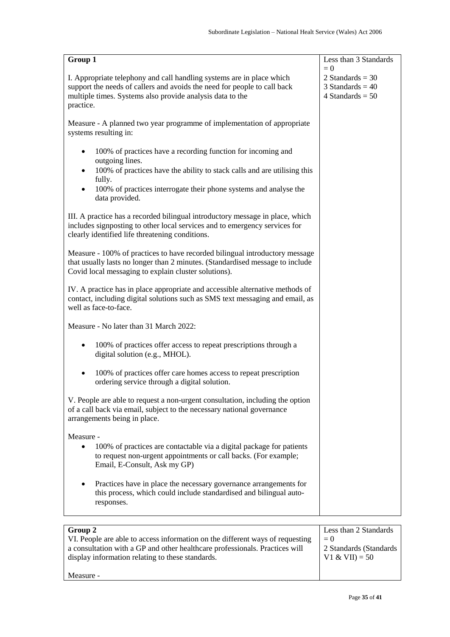| Group 1                                                                                                                                                                                                                                                                                | Less than 3 Standards                                          |
|----------------------------------------------------------------------------------------------------------------------------------------------------------------------------------------------------------------------------------------------------------------------------------------|----------------------------------------------------------------|
|                                                                                                                                                                                                                                                                                        | $= 0$                                                          |
| I. Appropriate telephony and call handling systems are in place which<br>support the needs of callers and avoids the need for people to call back<br>multiple times. Systems also provide analysis data to the<br>practice.                                                            | 2 Standards = $30$<br>$3$ Standards = 40<br>4 Standards = $50$ |
| Measure - A planned two year programme of implementation of appropriate<br>systems resulting in:                                                                                                                                                                                       |                                                                |
| 100% of practices have a recording function for incoming and<br>$\bullet$<br>outgoing lines.<br>100% of practices have the ability to stack calls and are utilising this<br>$\bullet$<br>fully.<br>100% of practices interrogate their phone systems and analyse the<br>data provided. |                                                                |
| III. A practice has a recorded bilingual introductory message in place, which<br>includes signposting to other local services and to emergency services for<br>clearly identified life threatening conditions.                                                                         |                                                                |
| Measure - 100% of practices to have recorded bilingual introductory message<br>that usually lasts no longer than 2 minutes. (Standardised message to include<br>Covid local messaging to explain cluster solutions).                                                                   |                                                                |
| IV. A practice has in place appropriate and accessible alternative methods of<br>contact, including digital solutions such as SMS text messaging and email, as<br>well as face-to-face.                                                                                                |                                                                |
| Measure - No later than 31 March 2022:                                                                                                                                                                                                                                                 |                                                                |
| 100% of practices offer access to repeat prescriptions through a<br>٠<br>digital solution (e.g., MHOL).                                                                                                                                                                                |                                                                |
| 100% of practices offer care homes access to repeat prescription<br>ordering service through a digital solution.                                                                                                                                                                       |                                                                |
| V. People are able to request a non-urgent consultation, including the option<br>of a call back via email, subject to the necessary national governance<br>arrangements being in place.                                                                                                |                                                                |
| Measure -                                                                                                                                                                                                                                                                              |                                                                |
| 100% of practices are contactable via a digital package for patients<br>$\bullet$<br>to request non-urgent appointments or call backs. (For example;<br>Email, E-Consult, Ask my GP)                                                                                                   |                                                                |
| Practices have in place the necessary governance arrangements for<br>$\bullet$<br>this process, which could include standardised and bilingual auto-<br>responses.                                                                                                                     |                                                                |
| Group 2                                                                                                                                                                                                                                                                                | Less than 2 Standards                                          |
| VI. People are able to access information on the different ways of requesting<br>a consultation with a GP and other healthcare professionals. Practices will<br>display information relating to these standards.                                                                       | $= 0$<br>2 Standards (Standards<br>$V1 & W1 = 50$              |

Measure -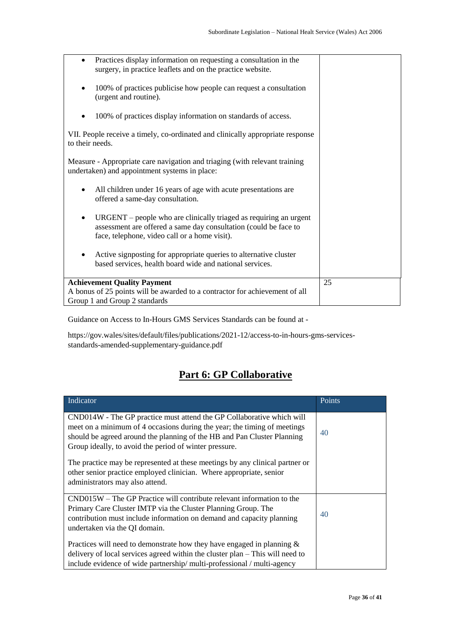| Practices display information on requesting a consultation in the<br>surgery, in practice leaflets and on the practice website.                                                             |    |
|---------------------------------------------------------------------------------------------------------------------------------------------------------------------------------------------|----|
| 100% of practices publicise how people can request a consultation<br>(urgent and routine).                                                                                                  |    |
| 100% of practices display information on standards of access.                                                                                                                               |    |
| VII. People receive a timely, co-ordinated and clinically appropriate response<br>to their needs.                                                                                           |    |
| Measure - Appropriate care navigation and triaging (with relevant training<br>undertaken) and appointment systems in place:                                                                 |    |
| All children under 16 years of age with acute presentations are<br>٠<br>offered a same-day consultation.                                                                                    |    |
| URGENT – people who are clinically triaged as requiring an urgent<br>٠<br>assessment are offered a same day consultation (could be face to<br>face, telephone, video call or a home visit). |    |
| Active signposting for appropriate queries to alternative cluster<br>based services, health board wide and national services.                                                               |    |
| <b>Achievement Quality Payment</b>                                                                                                                                                          | 25 |
| A bonus of 25 points will be awarded to a contractor for achievement of all                                                                                                                 |    |
| Group 1 and Group 2 standards                                                                                                                                                               |    |

Guidance on Access to In-Hours GMS Services Standards can be found at -

[https://gov.wales/sites/default/files/publications/2021-12/access-to-in-hours-gms-services](https://gov.wales/sites/default/files/publications/2021-12/access-to-in-hours-gms-services-standards-amended-supplementary-guidance.pdf)[standards-amended-supplementary-guidance.pdf](https://gov.wales/sites/default/files/publications/2021-12/access-to-in-hours-gms-services-standards-amended-supplementary-guidance.pdf)

# **Part 6: GP Collaborative**

| Indicator                                                                                                                                                                                                                                                                              | Points |
|----------------------------------------------------------------------------------------------------------------------------------------------------------------------------------------------------------------------------------------------------------------------------------------|--------|
| CND014W - The GP practice must attend the GP Collaborative which will<br>meet on a minimum of 4 occasions during the year; the timing of meetings<br>should be agreed around the planning of the HB and Pan Cluster Planning<br>Group ideally, to avoid the period of winter pressure. | 40     |
| The practice may be represented at these meetings by any clinical partner or<br>other senior practice employed clinician. Where appropriate, senior<br>administrators may also attend.                                                                                                 |        |
| $CND015W$ – The GP Practice will contribute relevant information to the<br>Primary Care Cluster IMTP via the Cluster Planning Group. The<br>contribution must include information on demand and capacity planning<br>undertaken via the QI domain.                                     | 40     |
| Practices will need to demonstrate how they have engaged in planning $\&$<br>delivery of local services agreed within the cluster plan – This will need to<br>include evidence of wide partnership/multi-professional / multi-agency                                                   |        |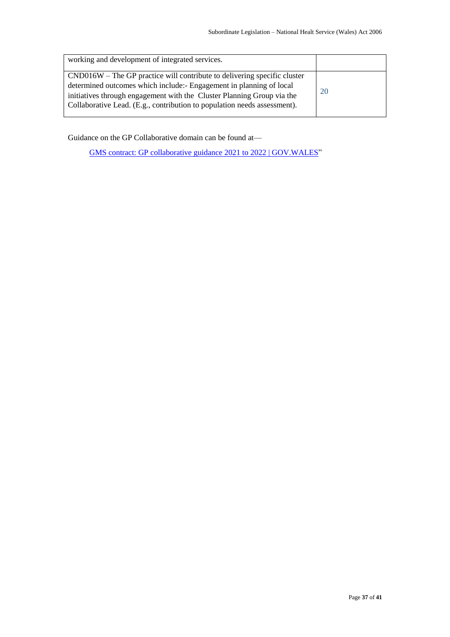| working and development of integrated services.                                                                                                                                                                                                                                                                      |    |
|----------------------------------------------------------------------------------------------------------------------------------------------------------------------------------------------------------------------------------------------------------------------------------------------------------------------|----|
| $\text{CND016W} - \text{The GP}$ practice will contribute to delivering specific cluster<br>determined outcomes which include: Engagement in planning of local<br>initiatives through engagement with the Cluster Planning Group via the<br>Collaborative Lead. (E.g., contribution to population needs assessment). | 20 |

Guidance on the GP Collaborative domain can be found at—

[GMS contract: GP collaborative guidance 2021 to 2022 | GOV.WALES"](https://gov.wales/gms-contract-gp-collaborative-guidance-2021-2022)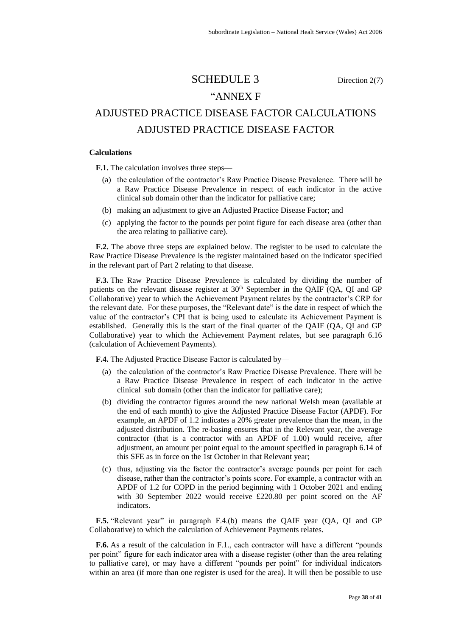## SCHEDULE 3 Direction 2(7)

# "ANNEX F

# ADJUSTED PRACTICE DISEASE FACTOR CALCULATIONS ADJUSTED PRACTICE DISEASE FACTOR

#### **Calculations**

**F.1.** The calculation involves three steps—

- (a) the calculation of the contractor's Raw Practice Disease Prevalence. There will be a Raw Practice Disease Prevalence in respect of each indicator in the active clinical sub domain other than the indicator for palliative care;
- (b) making an adjustment to give an Adjusted Practice Disease Factor; and
- (c) applying the factor to the pounds per point figure for each disease area (other than the area relating to palliative care).

**F.2.** The above three steps are explained below. The register to be used to calculate the Raw Practice Disease Prevalence is the register maintained based on the indicator specified in the relevant part of Part 2 relating to that disease.

**F.3.** The Raw Practice Disease Prevalence is calculated by dividing the number of patients on the relevant disease register at 30<sup>th</sup> September in the QAIF (QA, QI and GP Collaborative) year to which the Achievement Payment relates by the contractor's CRP for the relevant date. For these purposes, the "Relevant date" is the date in respect of which the value of the contractor's CPI that is being used to calculate its Achievement Payment is established. Generally this is the start of the final quarter of the QAIF (QA, QI and GP Collaborative) year to which the Achievement Payment relates, but see paragraph 6.16 (calculation of Achievement Payments).

**F.4.** The Adjusted Practice Disease Factor is calculated by—

- (a) the calculation of the contractor's Raw Practice Disease Prevalence. There will be a Raw Practice Disease Prevalence in respect of each indicator in the active clinical sub domain (other than the indicator for palliative care);
- (b) dividing the contractor figures around the new national Welsh mean (available at the end of each month) to give the Adjusted Practice Disease Factor (APDF). For example, an APDF of 1.2 indicates a 20% greater prevalence than the mean, in the adjusted distribution. The re-basing ensures that in the Relevant year, the average contractor (that is a contractor with an APDF of 1.00) would receive, after adjustment, an amount per point equal to the amount specified in paragraph 6.14 of this SFE as in force on the 1st October in that Relevant year;
- (c) thus, adjusting via the factor the contractor's average pounds per point for each disease, rather than the contractor's points score. For example, a contractor with an APDF of 1.2 for COPD in the period beginning with 1 October 2021 and ending with 30 September 2022 would receive £220.80 per point scored on the AF indicators.

**F.5.** "Relevant year" in paragraph F.4.(b) means the QAIF year (QA, QI and GP Collaborative) to which the calculation of Achievement Payments relates.

**F.6.** As a result of the calculation in F.1., each contractor will have a different "pounds per point" figure for each indicator area with a disease register (other than the area relating to palliative care), or may have a different "pounds per point" for individual indicators within an area (if more than one register is used for the area). It will then be possible to use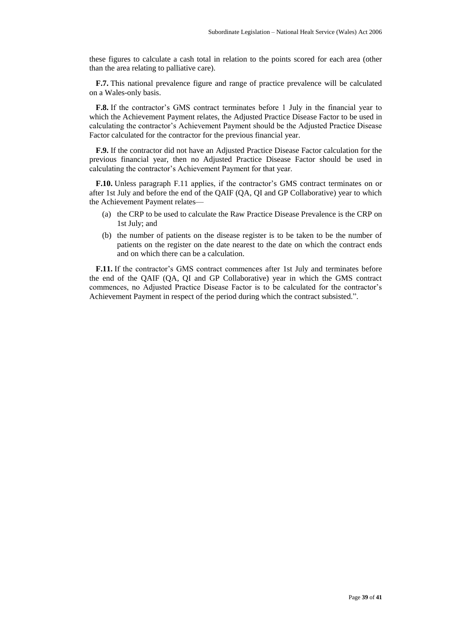these figures to calculate a cash total in relation to the points scored for each area (other than the area relating to palliative care).

**F.7.** This national prevalence figure and range of practice prevalence will be calculated on a Wales-only basis.

**F.8.** If the contractor's GMS contract terminates before 1 July in the financial year to which the Achievement Payment relates, the Adjusted Practice Disease Factor to be used in calculating the contractor's Achievement Payment should be the Adjusted Practice Disease Factor calculated for the contractor for the previous financial year.

**F.9.** If the contractor did not have an Adjusted Practice Disease Factor calculation for the previous financial year, then no Adjusted Practice Disease Factor should be used in calculating the contractor's Achievement Payment for that year.

**F.10.** Unless paragraph F.11 applies, if the contractor's GMS contract terminates on or after 1st July and before the end of the QAIF (QA, QI and GP Collaborative) year to which the Achievement Payment relates—

- (a) the CRP to be used to calculate the Raw Practice Disease Prevalence is the CRP on 1st July; and
- (b) the number of patients on the disease register is to be taken to be the number of patients on the register on the date nearest to the date on which the contract ends and on which there can be a calculation.

**F.11.** If the contractor's GMS contract commences after 1st July and terminates before the end of the QAIF (QA, QI and GP Collaborative) year in which the GMS contract commences, no Adjusted Practice Disease Factor is to be calculated for the contractor's Achievement Payment in respect of the period during which the contract subsisted.".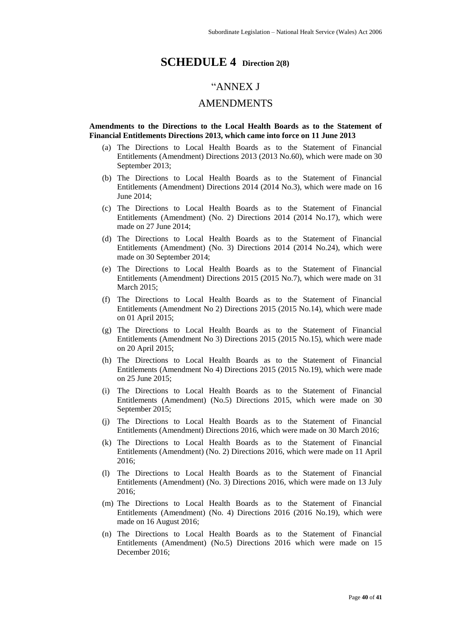# **SCHEDULE 4 Direction 2(8)**

# "ANNEX J

## AMENDMENTS

**Amendments to the Directions to the Local Health Boards as to the Statement of Financial Entitlements Directions 2013, which came into force on 11 June 2013**

- (a) The Directions to Local Health Boards as to the Statement of Financial Entitlements (Amendment) Directions 2013 (2013 No.60), which were made on 30 September 2013;
- (b) The Directions to Local Health Boards as to the Statement of Financial Entitlements (Amendment) Directions 2014 (2014 No.3), which were made on 16 June 2014;
- (c) The Directions to Local Health Boards as to the Statement of Financial Entitlements (Amendment) (No. 2) Directions 2014 (2014 No.17), which were made on 27 June 2014;
- (d) The Directions to Local Health Boards as to the Statement of Financial Entitlements (Amendment) (No. 3) Directions 2014 (2014 No.24), which were made on 30 September 2014;
- (e) The Directions to Local Health Boards as to the Statement of Financial Entitlements (Amendment) Directions 2015 (2015 No.7), which were made on 31 March 2015;
- (f) The Directions to Local Health Boards as to the Statement of Financial Entitlements (Amendment No 2) Directions 2015 (2015 No.14), which were made on 01 April 2015;
- (g) The Directions to Local Health Boards as to the Statement of Financial Entitlements (Amendment No 3) Directions 2015 (2015 No.15), which were made on 20 April 2015;
- (h) The Directions to Local Health Boards as to the Statement of Financial Entitlements (Amendment No 4) Directions 2015 (2015 No.19), which were made on 25 June 2015;
- (i) The Directions to Local Health Boards as to the Statement of Financial Entitlements (Amendment) (No.5) Directions 2015, which were made on 30 September 2015;
- (j) The Directions to Local Health Boards as to the Statement of Financial Entitlements (Amendment) Directions 2016, which were made on 30 March 2016;
- (k) The Directions to Local Health Boards as to the Statement of Financial Entitlements (Amendment) (No. 2) Directions 2016, which were made on 11 April 2016;
- (l) The Directions to Local Health Boards as to the Statement of Financial Entitlements (Amendment) (No. 3) Directions 2016, which were made on 13 July 2016;
- (m) The Directions to Local Health Boards as to the Statement of Financial Entitlements (Amendment) (No. 4) Directions 2016 (2016 No.19), which were made on 16 August 2016;
- (n) The Directions to Local Health Boards as to the Statement of Financial Entitlements (Amendment) (No.5) Directions 2016 which were made on 15 December 2016;